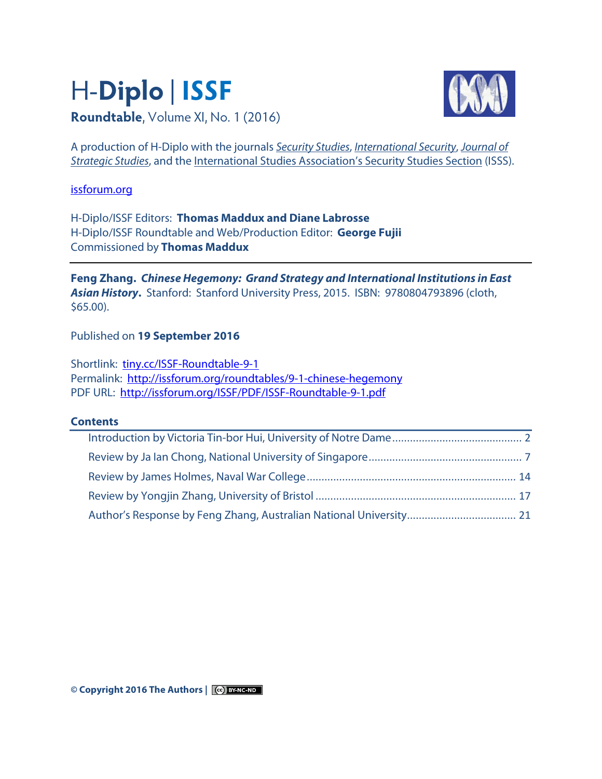# H-**Diplo** | **ISSF Roundtable**, Volume XI, No. 1 (2016)



A production of H-Diplo with the journals [Security Studies](http://www.tandfonline.com/loi/fsst20), [International Security](http://www.belfercenter.org/IS), [Journal of](http://www.tandf.co.uk/journals/journal.asp?issn=0140-2390)  **[Strategic Studies](http://www.tandf.co.uk/journals/journal.asp?issn=0140-2390), and th[e International Studies Association's Security Studies Section](http://www.isanet.org/ISA/Sections/ISSS) (ISSS).** 

[issforum.org](http://issforum.org/)

H-Diplo/ISSF Editors: **Thomas Maddux and Diane Labrosse** H-Diplo/ISSF Roundtable and Web/Production Editor: **George Fujii** Commissioned by **Thomas Maddux**

**Feng Zhang. Chinese Hegemony: Grand Strategy and International Institutions in East Asian History.** Stanford: Stanford University Press, 2015. ISBN: 9780804793896 (cloth, \$65.00).

Published on **19 September 2016**

Shortlink: [tiny.cc/ISSF-Roundtable-9-1](http://tiny.cc/ISSF-Roundtable-9-1) Permalink:<http://issforum.org/roundtables/9-1-chinese-hegemony> PDF URL: <http://issforum.org/ISSF/PDF/ISSF-Roundtable-9-1.pdf>

## **Contents**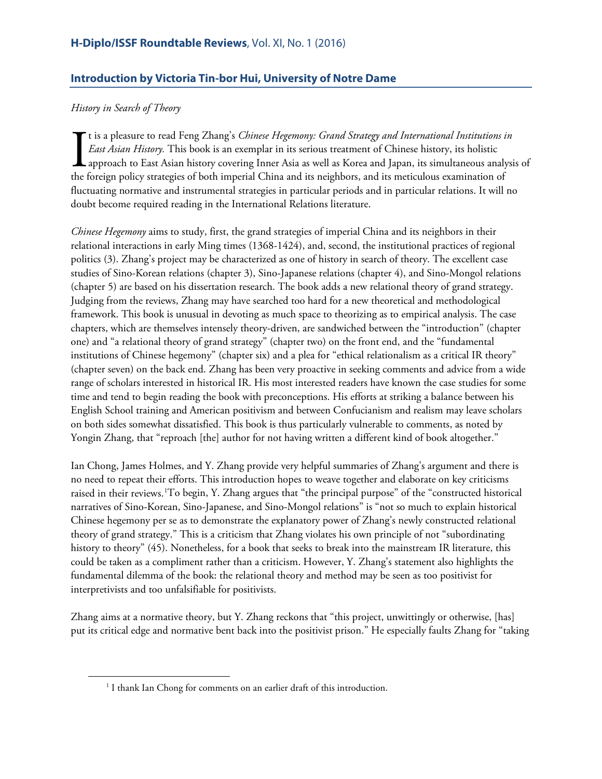# <span id="page-1-0"></span>**Introduction by Victoria Tin-bor Hui, University of Notre Dame**

## *History in Search of Theory*

<span id="page-1-1"></span> $\overline{a}$ 

t is a pleasure to read Feng Zhang's *Chinese Hegemony: Grand Strategy and International Institutions in East Asian History.* This book is an exemplar in its serious treatment of Chinese history, its holistic approach to East Asian history covering Inner Asia as well as Korea and Japan, its simultaneous analysis of the foreign policy strategies of both imperial China and its neighbors, and its meticulous examination of fluctuating normative and instrumental strategies in particular periods and in particular relations. It will no doubt become required reading in the International Relations literature.  $\prod_{\text{the }i}$ 

*Chinese Hegemony* aims to study, first, the grand strategies of imperial China and its neighbors in their relational interactions in early Ming times (1368-1424), and, second, the institutional practices of regional politics (3). Zhang's project may be characterized as one of history in search of theory. The excellent case studies of Sino-Korean relations (chapter 3), Sino-Japanese relations (chapter 4), and Sino-Mongol relations (chapter 5) are based on his dissertation research. The book adds a new relational theory of grand strategy. Judging from the reviews, Zhang may have searched too hard for a new theoretical and methodological framework. This book is unusual in devoting as much space to theorizing as to empirical analysis. The case chapters, which are themselves intensely theory-driven, are sandwiched between the "introduction" (chapter one) and "a relational theory of grand strategy" (chapter two) on the front end, and the "fundamental institutions of Chinese hegemony" (chapter six) and a plea for "ethical relationalism as a critical IR theory" (chapter seven) on the back end. Zhang has been very proactive in seeking comments and advice from a wide range of scholars interested in historical IR. His most interested readers have known the case studies for some time and tend to begin reading the book with preconceptions. His efforts at striking a balance between his English School training and American positivism and between Confucianism and realism may leave scholars on both sides somewhat dissatisfied. This book is thus particularly vulnerable to comments, as noted by Yongin Zhang, that "reproach [the] author for not having written a different kind of book altogether."

Ian Chong, James Holmes, and Y. Zhang provide very helpful summaries of Zhang's argument and there is no need to repeat their efforts. This introduction hopes to weave together and elaborate on key criticisms raised in their reviews. 'To begin, Y. Zhang argues that "the principal purpose" of the "constructed historical narratives of Sino-Korean, Sino-Japanese, and Sino-Mongol relations" is "not so much to explain historical Chinese hegemony per se as to demonstrate the explanatory power of Zhang's newly constructed relational theory of grand strategy." This is a criticism that Zhang violates his own principle of not "subordinating history to theory" (45). Nonetheless, for a book that seeks to break into the mainstream IR literature, this could be taken as a compliment rather than a criticism. However, Y. Zhang's statement also highlights the fundamental dilemma of the book: the relational theory and method may be seen as too positivist for interpretivists and too unfalsifiable for positivists.

Zhang aims at a normative theory, but Y. Zhang reckons that "this project, unwittingly or otherwise, [has] put its critical edge and normative bent back into the positivist prison." He especially faults Zhang for "taking

<sup>&</sup>lt;sup>1</sup> I thank Ian Chong for comments on an earlier draft of this introduction.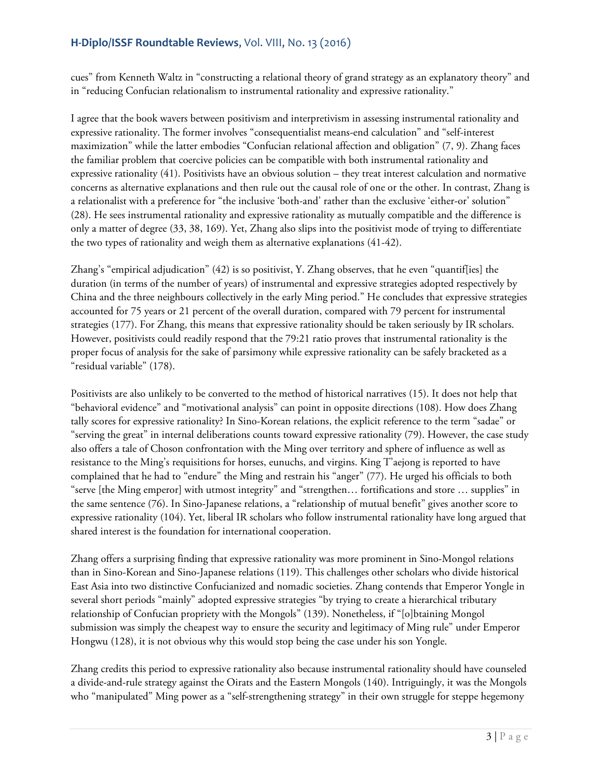cues" from Kenneth Waltz in "constructing a relational theory of grand strategy as an explanatory theory" and in "reducing Confucian relationalism to instrumental rationality and expressive rationality."

I agree that the book wavers between positivism and interpretivism in assessing instrumental rationality and expressive rationality. The former involves "consequentialist means-end calculation" and "self-interest maximization" while the latter embodies "Confucian relational affection and obligation" (7, 9). Zhang faces the familiar problem that coercive policies can be compatible with both instrumental rationality and expressive rationality (41). Positivists have an obvious solution – they treat interest calculation and normative concerns as alternative explanations and then rule out the causal role of one or the other. In contrast, Zhang is a relationalist with a preference for "the inclusive 'both-and' rather than the exclusive 'either-or' solution" (28). He sees instrumental rationality and expressive rationality as mutually compatible and the difference is only a matter of degree (33, 38, 169). Yet, Zhang also slips into the positivist mode of trying to differentiate the two types of rationality and weigh them as alternative explanations (41-42).

Zhang's "empirical adjudication" (42) is so positivist, Y. Zhang observes, that he even "quantif[ies] the duration (in terms of the number of years) of instrumental and expressive strategies adopted respectively by China and the three neighbours collectively in the early Ming period." He concludes that expressive strategies accounted for 75 years or 21 percent of the overall duration, compared with 79 percent for instrumental strategies (177). For Zhang, this means that expressive rationality should be taken seriously by IR scholars. However, positivists could readily respond that the 79:21 ratio proves that instrumental rationality is the proper focus of analysis for the sake of parsimony while expressive rationality can be safely bracketed as a "residual variable" (178).

Positivists are also unlikely to be converted to the method of historical narratives (15). It does not help that "behavioral evidence" and "motivational analysis" can point in opposite directions (108). How does Zhang tally scores for expressive rationality? In Sino-Korean relations, the explicit reference to the term "sadae" or "serving the great" in internal deliberations counts toward expressive rationality (79). However, the case study also offers a tale of Choson confrontation with the Ming over territory and sphere of influence as well as resistance to the Ming's requisitions for horses, eunuchs, and virgins. King T'aejong is reported to have complained that he had to "endure" the Ming and restrain his "anger" (77). He urged his officials to both "serve [the Ming emperor] with utmost integrity" and "strengthen… fortifications and store … supplies" in the same sentence (76). In Sino-Japanese relations, a "relationship of mutual benefit" gives another score to expressive rationality (104). Yet, liberal IR scholars who follow instrumental rationality have long argued that shared interest is the foundation for international cooperation.

Zhang offers a surprising finding that expressive rationality was more prominent in Sino-Mongol relations than in Sino-Korean and Sino-Japanese relations (119). This challenges other scholars who divide historical East Asia into two distinctive Confucianized and nomadic societies. Zhang contends that Emperor Yongle in several short periods "mainly" adopted expressive strategies "by trying to create a hierarchical tributary relationship of Confucian propriety with the Mongols" (139). Nonetheless, if "[o]btaining Mongol submission was simply the cheapest way to ensure the security and legitimacy of Ming rule" under Emperor Hongwu (128), it is not obvious why this would stop being the case under his son Yongle.

Zhang credits this period to expressive rationality also because instrumental rationality should have counseled a divide-and-rule strategy against the Oirats and the Eastern Mongols (140). Intriguingly, it was the Mongols who "manipulated" Ming power as a "self-strengthening strategy" in their own struggle for steppe hegemony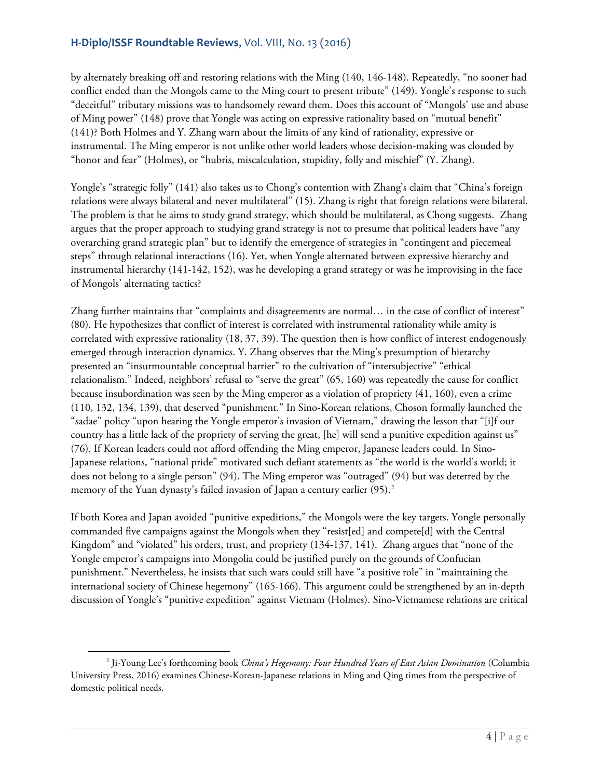by alternately breaking off and restoring relations with the Ming (140, 146-148). Repeatedly, "no sooner had conflict ended than the Mongols came to the Ming court to present tribute" (149). Yongle's response to such "deceitful" tributary missions was to handsomely reward them. Does this account of "Mongols' use and abuse of Ming power" (148) prove that Yongle was acting on expressive rationality based on "mutual benefit" (141)? Both Holmes and Y. Zhang warn about the limits of any kind of rationality, expressive or instrumental. The Ming emperor is not unlike other world leaders whose decision-making was clouded by "honor and fear" (Holmes), or "hubris, miscalculation, stupidity, folly and mischief" (Y. Zhang).

Yongle's "strategic folly" (141) also takes us to Chong's contention with Zhang's claim that "China's foreign relations were always bilateral and never multilateral" (15). Zhang is right that foreign relations were bilateral. The problem is that he aims to study grand strategy, which should be multilateral, as Chong suggests. Zhang argues that the proper approach to studying grand strategy is not to presume that political leaders have "any overarching grand strategic plan" but to identify the emergence of strategies in "contingent and piecemeal steps" through relational interactions (16). Yet, when Yongle alternated between expressive hierarchy and instrumental hierarchy (141-142, 152), was he developing a grand strategy or was he improvising in the face of Mongols' alternating tactics?

Zhang further maintains that "complaints and disagreements are normal… in the case of conflict of interest" (80). He hypothesizes that conflict of interest is correlated with instrumental rationality while amity is correlated with expressive rationality (18, 37, 39). The question then is how conflict of interest endogenously emerged through interaction dynamics. Y. Zhang observes that the Ming's presumption of hierarchy presented an "insurmountable conceptual barrier" to the cultivation of "intersubjective" "ethical relationalism." Indeed, neighbors' refusal to "serve the great" (65, 160) was repeatedly the cause for conflict because insubordination was seen by the Ming emperor as a violation of propriety (41, 160), even a crime (110, 132, 134, 139), that deserved "punishment." In Sino-Korean relations, Choson formally launched the "sadae" policy "upon hearing the Yongle emperor's invasion of Vietnam," drawing the lesson that "[i]f our country has a little lack of the propriety of serving the great, [he] will send a punitive expedition against us" (76). If Korean leaders could not afford offending the Ming emperor, Japanese leaders could. In Sino-Japanese relations, "national pride" motivated such defiant statements as "the world is the world's world; it does not belong to a single person" (94). The Ming emperor was "outraged" (94) but was deterred by the memory of the Yuan dynasty's failed invasion of Japan a century earlier (95).<sup>[2](#page-3-0)</sup>

If both Korea and Japan avoided "punitive expeditions," the Mongols were the key targets. Yongle personally commanded five campaigns against the Mongols when they "resist[ed] and compete[d] with the Central Kingdom" and "violated" his orders, trust, and propriety (134-137, 141). Zhang argues that "none of the Yongle emperor's campaigns into Mongolia could be justified purely on the grounds of Confucian punishment." Nevertheless, he insists that such wars could still have "a positive role" in "maintaining the international society of Chinese hegemony" (165-166). This argument could be strengthened by an in-depth discussion of Yongle's "punitive expedition" against Vietnam (Holmes). Sino-Vietnamese relations are critical

l

<span id="page-3-0"></span><sup>2</sup> Ji-Young Lee's forthcoming book *China's Hegemony: Four Hundred Years of East Asian Domination* (Columbia University Press, 2016) examines Chinese-Korean-Japanese relations in Ming and Qing times from the perspective of domestic political needs.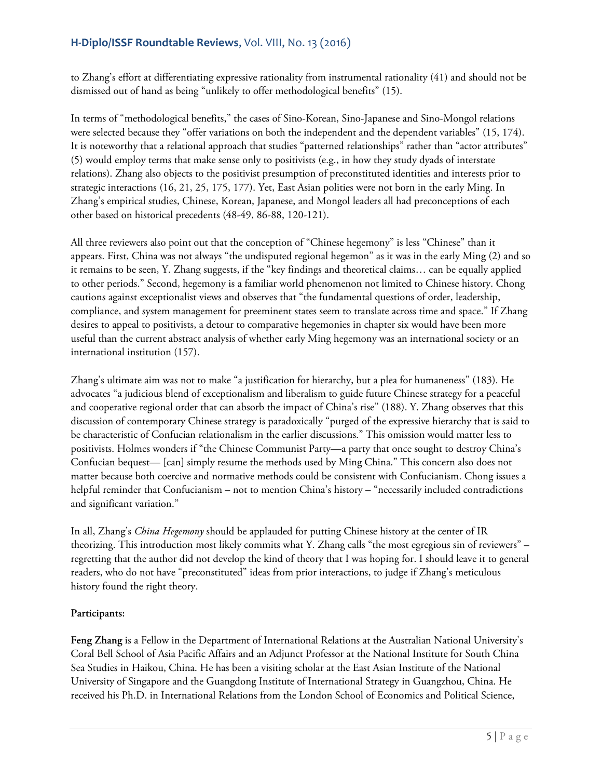to Zhang's effort at differentiating expressive rationality from instrumental rationality (41) and should not be dismissed out of hand as being "unlikely to offer methodological benefits" (15).

In terms of "methodological benefits," the cases of Sino-Korean, Sino-Japanese and Sino-Mongol relations were selected because they "offer variations on both the independent and the dependent variables" (15, 174). It is noteworthy that a relational approach that studies "patterned relationships" rather than "actor attributes" (5) would employ terms that make sense only to positivists (e.g., in how they study dyads of interstate relations). Zhang also objects to the positivist presumption of preconstituted identities and interests prior to strategic interactions (16, 21, 25, 175, 177). Yet, East Asian polities were not born in the early Ming. In Zhang's empirical studies, Chinese, Korean, Japanese, and Mongol leaders all had preconceptions of each other based on historical precedents (48-49, 86-88, 120-121).

All three reviewers also point out that the conception of "Chinese hegemony" is less "Chinese" than it appears. First, China was not always "the undisputed regional hegemon" as it was in the early Ming (2) and so it remains to be seen, Y. Zhang suggests, if the "key findings and theoretical claims… can be equally applied to other periods." Second, hegemony is a familiar world phenomenon not limited to Chinese history. Chong cautions against exceptionalist views and observes that "the fundamental questions of order, leadership, compliance, and system management for preeminent states seem to translate across time and space." If Zhang desires to appeal to positivists, a detour to comparative hegemonies in chapter six would have been more useful than the current abstract analysis of whether early Ming hegemony was an international society or an international institution (157).

Zhang's ultimate aim was not to make "a justification for hierarchy, but a plea for humaneness" (183). He advocates "a judicious blend of exceptionalism and liberalism to guide future Chinese strategy for a peaceful and cooperative regional order that can absorb the impact of China's rise" (188). Y. Zhang observes that this discussion of contemporary Chinese strategy is paradoxically "purged of the expressive hierarchy that is said to be characteristic of Confucian relationalism in the earlier discussions." This omission would matter less to positivists. Holmes wonders if "the Chinese Communist Party—a party that once sought to destroy China's Confucian bequest— [can] simply resume the methods used by Ming China." This concern also does not matter because both coercive and normative methods could be consistent with Confucianism. Chong issues a helpful reminder that Confucianism – not to mention China's history – "necessarily included contradictions and significant variation."

In all, Zhang's *China Hegemony* should be applauded for putting Chinese history at the center of IR theorizing. This introduction most likely commits what Y. Zhang calls "the most egregious sin of reviewers" – regretting that the author did not develop the kind of theory that I was hoping for. I should leave it to general readers, who do not have "preconstituted" ideas from prior interactions, to judge if Zhang's meticulous history found the right theory.

## **Participants:**

**Feng Zhang** is a Fellow in the Department of International Relations at the Australian National University's Coral Bell School of Asia Pacific Affairs and an Adjunct Professor at the National Institute for South China Sea Studies in Haikou, China. He has been a visiting scholar at the East Asian Institute of the National University of Singapore and the Guangdong Institute of International Strategy in Guangzhou, China. He received his Ph.D. in International Relations from the London School of Economics and Political Science,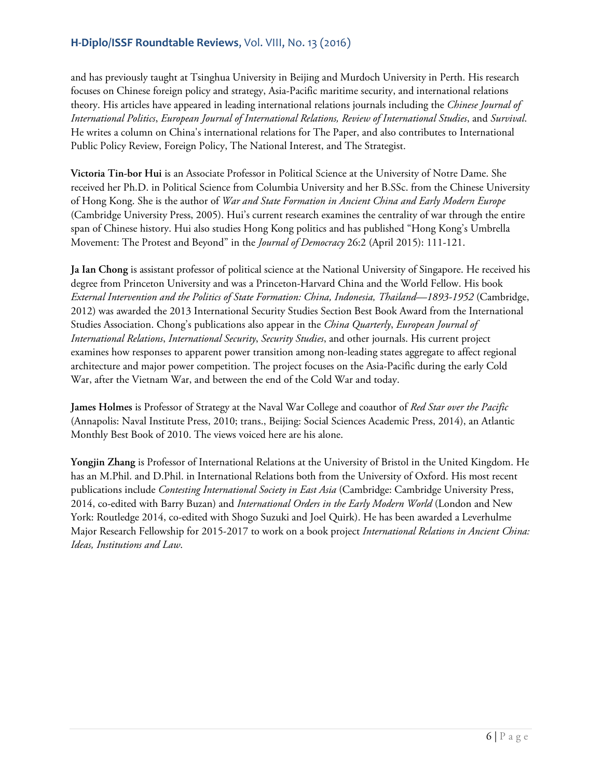and has previously taught at Tsinghua University in Beijing and Murdoch University in Perth. His research focuses on Chinese foreign policy and strategy, Asia-Pacific maritime security, and international relations theory. His articles have appeared in leading international relations journals including the *Chinese Journal of International Politics*, *European Journal of International Relations, Review of International Studies*, and *Survival*. He writes a column on China's international relations for The Paper, and also contributes to International Public Policy Review, Foreign Policy, The National Interest, and The Strategist.

**Victoria Tin-bor Hui** is an Associate Professor in Political Science at the University of Notre Dame. She received her Ph.D. in Political Science from Columbia University and her B.SSc. from the Chinese University of Hong Kong. She is the author of *War and State Formation in Ancient China and Early Modern Europe* (Cambridge University Press, 2005). Hui's current research examines the centrality of war through the entire span of Chinese history. Hui also studies Hong Kong politics and has published "Hong Kong's Umbrella Movement: The Protest and Beyond" in the *Journal of Democracy* 26:2 (April 2015): 111-121.

**Ja Ian Chong** is assistant professor of political science at the National University of Singapore. He received his degree from Princeton University and was a Princeton-Harvard China and the World Fellow. His book *External Intervention and the Politics of State Formation: China, Indonesia, Thailand—1893-1952* (Cambridge, 2012) was awarded the 2013 International Security Studies Section Best Book Award from the International Studies Association. Chong's publications also appear in the *China Quarterly*, *European Journal of International Relations*, *International Security*, *Security Studies*, and other journals. His current project examines how responses to apparent power transition among non-leading states aggregate to affect regional architecture and major power competition. The project focuses on the Asia-Pacific during the early Cold War, after the Vietnam War, and between the end of the Cold War and today.

**James Holmes** is Professor of Strategy at the Naval War College and coauthor of *Red Star over the Pacific* (Annapolis: Naval Institute Press, 2010; trans., Beijing: Social Sciences Academic Press, 2014), an Atlantic Monthly Best Book of 2010. The views voiced here are his alone.

**Yongjin Zhang** is Professor of International Relations at the University of Bristol in the United Kingdom. He has an M.Phil. and D.Phil. in International Relations both from the University of Oxford. His most recent publications include *Contesting International Society in East Asia* (Cambridge: Cambridge University Press, 2014, co-edited with Barry Buzan) and *International Orders in the Early Modern World* (London and New York: Routledge 2014, co-edited with Shogo Suzuki and Joel Quirk). He has been awarded a Leverhulme Major Research Fellowship for 2015-2017 to work on a book project *International Relations in Ancient China: Ideas, Institutions and Law*.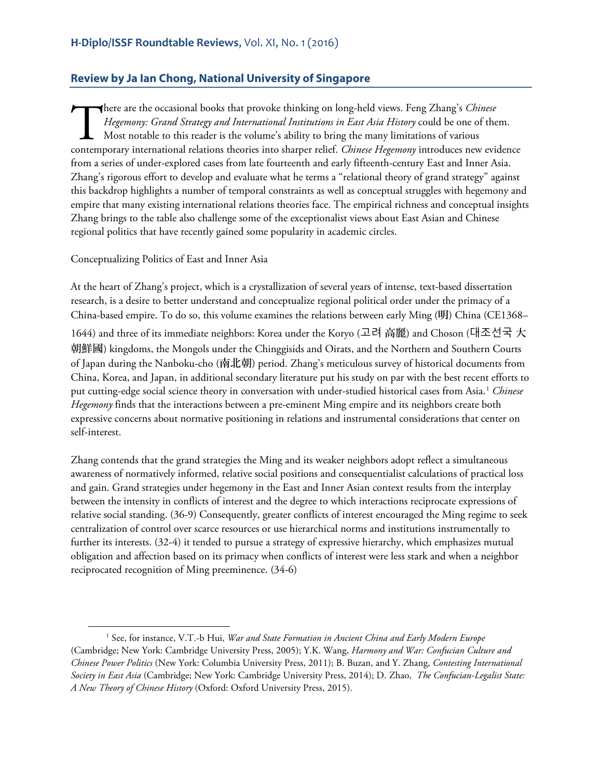## <span id="page-6-0"></span>**Review by Ja Ian Chong, National University of Singapore**

here are the occasional books that provoke thinking on long-held views. Feng Zhang's *Chinese Hegemony: Grand Strategy and International Institutions in East Asia History* could be one of them. Most notable to this reader is the volume's ability to bring the many limitations of various There are the occasional books that provoke thinking on long-held views. Feng Zhang's *Chinese*<br>Hegemony: Grand Strategy and International Institutions in East Asia History could be one of them.<br>Most notable to this reader from a series of under-explored cases from late fourteenth and early fifteenth-century East and Inner Asia. Zhang's rigorous effort to develop and evaluate what he terms a "relational theory of grand strategy" against this backdrop highlights a number of temporal constraints as well as conceptual struggles with hegemony and empire that many existing international relations theories face. The empirical richness and conceptual insights Zhang brings to the table also challenge some of the exceptionalist views about East Asian and Chinese regional politics that have recently gained some popularity in academic circles.

Conceptualizing Politics of East and Inner Asia

 $\overline{a}$ 

At the heart of Zhang's project, which is a crystallization of several years of intense, text-based dissertation research, is a desire to better understand and conceptualize regional political order under the primacy of a China-based empire. To do so, this volume examines the relations between early Ming (明) China (CE1368– 1644) and three of its immediate neighbors: Korea under the Koryo (고려 高麗) and Choson (대조선국 大 朝鮮國) kingdoms, the Mongols under the Chinggisids and Oirats, and the Northern and Southern Courts of Japan during the Nanboku-cho (南北朝) period. Zhang's meticulous survey of historical documents from China, Korea, and Japan, in additional secondary literature put his study on par with the best recent efforts to put cutting-edge social science theory in conversation with under-studied historical cases from Asia.[1](#page-6-1) *Chinese Hegemony* finds that the interactions between a pre-eminent Ming empire and its neighbors create both expressive concerns about normative positioning in relations and instrumental considerations that center on self-interest.

Zhang contends that the grand strategies the Ming and its weaker neighbors adopt reflect a simultaneous awareness of normatively informed, relative social positions and consequentialist calculations of practical loss and gain. Grand strategies under hegemony in the East and Inner Asian context results from the interplay between the intensity in conflicts of interest and the degree to which interactions reciprocate expressions of relative social standing. (36-9) Consequently, greater conflicts of interest encouraged the Ming regime to seek centralization of control over scarce resources or use hierarchical norms and institutions instrumentally to further its interests. (32-4) it tended to pursue a strategy of expressive hierarchy, which emphasizes mutual obligation and affection based on its primacy when conflicts of interest were less stark and when a neighbor reciprocated recognition of Ming preeminence. (34-6)

<span id="page-6-1"></span><sup>1</sup> See, for instance, V.T.-b Hui, *War and State Formation in Ancient China and Early Modern Europe* (Cambridge; New York: Cambridge University Press, 2005); Y.K. Wang, *Harmony and War: Confucian Culture and Chinese Power Politics* (New York: Columbia University Press, 2011); B. Buzan, and Y. Zhang, *Contesting International Society in East Asia* (Cambridge; New York: Cambridge University Press, 2014); D. Zhao, *The Confucian-Legalist State: A New Theory of Chinese History* (Oxford: Oxford University Press, 2015).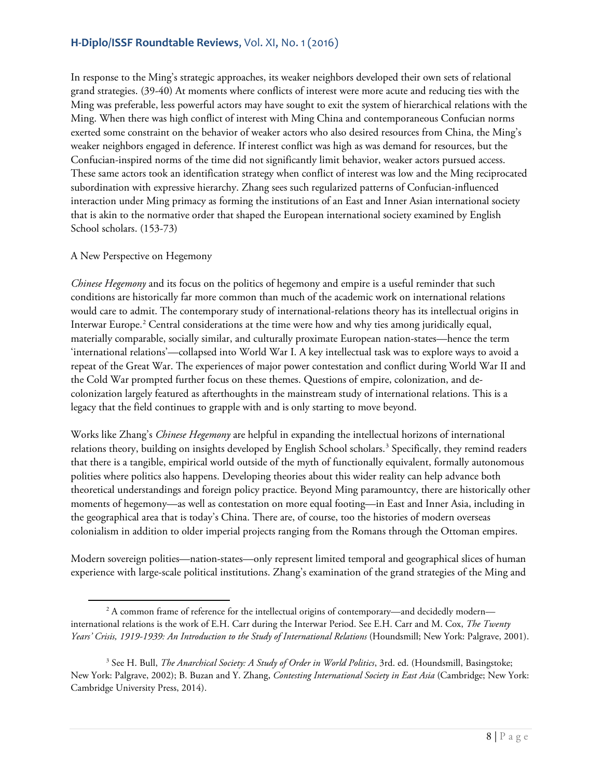In response to the Ming's strategic approaches, its weaker neighbors developed their own sets of relational grand strategies. (39-40) At moments where conflicts of interest were more acute and reducing ties with the Ming was preferable, less powerful actors may have sought to exit the system of hierarchical relations with the Ming. When there was high conflict of interest with Ming China and contemporaneous Confucian norms exerted some constraint on the behavior of weaker actors who also desired resources from China, the Ming's weaker neighbors engaged in deference. If interest conflict was high as was demand for resources, but the Confucian-inspired norms of the time did not significantly limit behavior, weaker actors pursued access. These same actors took an identification strategy when conflict of interest was low and the Ming reciprocated subordination with expressive hierarchy. Zhang sees such regularized patterns of Confucian-influenced interaction under Ming primacy as forming the institutions of an East and Inner Asian international society that is akin to the normative order that shaped the European international society examined by English School scholars. (153-73)

#### A New Perspective on Hegemony

*Chinese Hegemony* and its focus on the politics of hegemony and empire is a useful reminder that such conditions are historically far more common than much of the academic work on international relations would care to admit. The contemporary study of international-relations theory has its intellectual origins in Interwar Europe.<sup>[2](#page-7-0)</sup> Central considerations at the time were how and why ties among juridically equal, materially comparable, socially similar, and culturally proximate European nation-states—hence the term 'international relations'—collapsed into World War I. A key intellectual task was to explore ways to avoid a repeat of the Great War. The experiences of major power contestation and conflict during World War II and the Cold War prompted further focus on these themes. Questions of empire, colonization, and decolonization largely featured as afterthoughts in the mainstream study of international relations. This is a legacy that the field continues to grapple with and is only starting to move beyond.

Works like Zhang's *Chinese Hegemony* are helpful in expanding the intellectual horizons of international relations theory, building on insights developed by English School scholars.<sup>3</sup> Specifically, they remind readers that there is a tangible, empirical world outside of the myth of functionally equivalent, formally autonomous polities where politics also happens. Developing theories about this wider reality can help advance both theoretical understandings and foreign policy practice. Beyond Ming paramountcy, there are historically other moments of hegemony—as well as contestation on more equal footing—in East and Inner Asia, including in the geographical area that is today's China. There are, of course, too the histories of modern overseas colonialism in addition to older imperial projects ranging from the Romans through the Ottoman empires.

Modern sovereign polities—nation-states—only represent limited temporal and geographical slices of human experience with large-scale political institutions. Zhang's examination of the grand strategies of the Ming and

<span id="page-7-0"></span>l <sup>2</sup> A common frame of reference for the intellectual origins of contemporary—and decidedly modern international relations is the work of E.H. Carr during the Interwar Period. See E.H. Carr and M. Cox, *The Twenty Years' Crisis, 1919-1939: An Introduction to the Study of International Relations* (Houndsmill; New York: Palgrave, 2001).

<span id="page-7-1"></span><sup>&</sup>lt;sup>3</sup> See H. Bull, *The Anarchical Society: A Study of Order in World Politics*, 3rd. ed. (Houndsmill, Basingstoke; New York: Palgrave, 2002); B. Buzan and Y. Zhang, *Contesting International Society in East Asia* (Cambridge; New York: Cambridge University Press, 2014).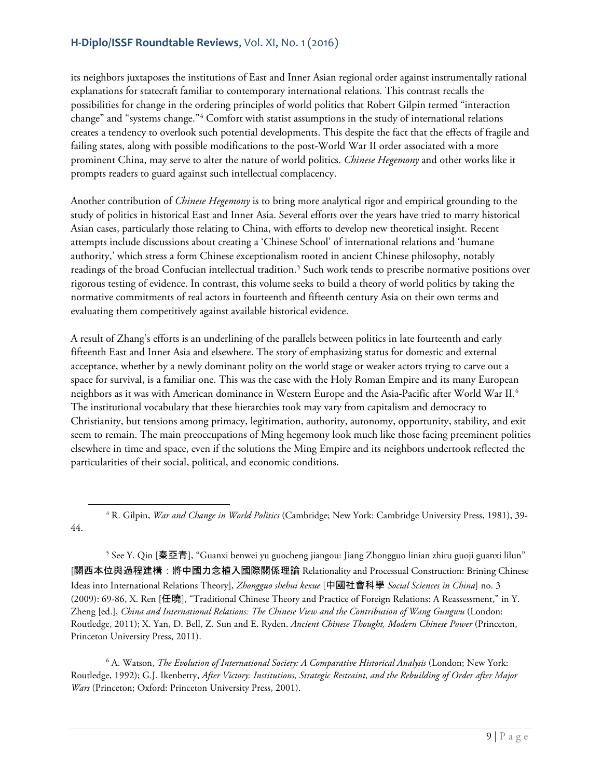l

its neighbors juxtaposes the institutions of East and Inner Asian regional order against instrumentally rational explanations for statecraft familiar to contemporary international relations. This contrast recalls the possibilities for change in the ordering principles of world politics that Robert Gilpin termed "interaction change" and "systems change."[4](#page-8-0) Comfort with statist assumptions in the study of international relations creates a tendency to overlook such potential developments. This despite the fact that the effects of fragile and failing states, along with possible modifications to the post-World War II order associated with a more prominent China, may serve to alter the nature of world politics. *Chinese Hegemony* and other works like it prompts readers to guard against such intellectual complacency.

Another contribution of *Chinese Hegemony* is to bring more analytical rigor and empirical grounding to the study of politics in historical East and Inner Asia. Several efforts over the years have tried to marry historical Asian cases, particularly those relating to China, with efforts to develop new theoretical insight. Recent attempts include discussions about creating a 'Chinese School' of international relations and 'humane authority,' which stress a form Chinese exceptionalism rooted in ancient Chinese philosophy, notably readings of the broad Confucian intellectual tradition.<sup>[5](#page-8-1)</sup> Such work tends to prescribe normative positions over rigorous testing of evidence. In contrast, this volume seeks to build a theory of world politics by taking the normative commitments of real actors in fourteenth and fifteenth century Asia on their own terms and evaluating them competitively against available historical evidence.

A result of Zhang's efforts is an underlining of the parallels between politics in late fourteenth and early fifteenth East and Inner Asia and elsewhere. The story of emphasizing status for domestic and external acceptance, whether by a newly dominant polity on the world stage or weaker actors trying to carve out a space for survival, is a familiar one. This was the case with the Holy Roman Empire and its many European neighbors as it was with American dominance in Western Europe and the Asia-Pacific after World War II.[6](#page-8-2) The institutional vocabulary that these hierarchies took may vary from capitalism and democracy to Christianity, but tensions among primacy, legitimation, authority, autonomy, opportunity, stability, and exit seem to remain. The main preoccupations of Ming hegemony look much like those facing preeminent polities elsewhere in time and space, even if the solutions the Ming Empire and its neighbors undertook reflected the particularities of their social, political, and economic conditions.

<span id="page-8-1"></span><sup>5</sup> See Y. Qin [秦亞青], "Guanxi benwei yu guocheng jiangou: Jiang Zhongguo linian zhiru guoji guanxi lilun" [關西本位與過程建構:將中國力念植入國際關係理論 Relationality and Processual Construction: Brining Chinese Ideas into International Relations Theory], *Zhongguo shehui kexue* [中國社會科學 *Social Sciences in China*] no. 3 (2009): 69-86, X. Ren [任曉], "Traditional Chinese Theory and Practice of Foreign Relations: A Reassessment," in Y. Zheng [ed.], *China and International Relations: The Chinese View and the Contribution of Wang Gungwu* (London: Routledge, 2011); X. Yan, D. Bell, Z. Sun and E. Ryden. *Ancient Chinese Thought, Modern Chinese Power* (Princeton, Princeton University Press, 2011).

<span id="page-8-2"></span><sup>6</sup> A. Watson, *The Evolution of International Society: A Comparative Historical Analysis* (London; New York: Routledge, 1992); G.J. Ikenberry, *After Victory: Institutions, Strategic Restraint, and the Rebuilding of Order after Major Wars* (Princeton; Oxford: Princeton University Press, 2001).

<span id="page-8-0"></span><sup>4</sup> R. Gilpin, *War and Change in World Politics* (Cambridge; New York: Cambridge University Press, 1981), 39- 44.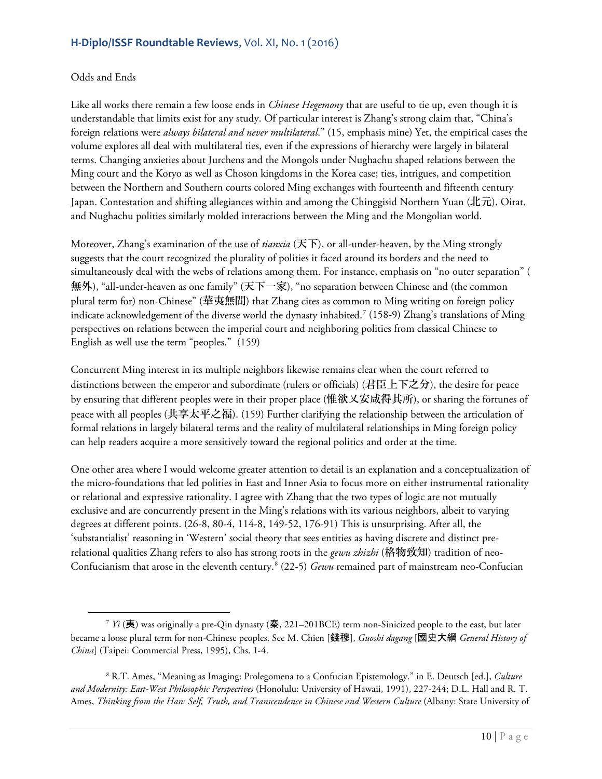#### Odds and Ends

 $\overline{a}$ 

Like all works there remain a few loose ends in *Chinese Hegemony* that are useful to tie up, even though it is understandable that limits exist for any study. Of particular interest is Zhang's strong claim that, "China's foreign relations were *always bilateral and never multilateral*." (15, emphasis mine) Yet, the empirical cases the volume explores all deal with multilateral ties, even if the expressions of hierarchy were largely in bilateral terms. Changing anxieties about Jurchens and the Mongols under Nughachu shaped relations between the Ming court and the Koryo as well as Choson kingdoms in the Korea case; ties, intrigues, and competition between the Northern and Southern courts colored Ming exchanges with fourteenth and fifteenth century Japan. Contestation and shifting allegiances within and among the Chinggisid Northern Yuan (北元), Oirat, and Nughachu polities similarly molded interactions between the Ming and the Mongolian world.

Moreover, Zhang's examination of the use of *tianxia* (天下), or all-under-heaven, by the Ming strongly suggests that the court recognized the plurality of polities it faced around its borders and the need to simultaneously deal with the webs of relations among them. For instance, emphasis on "no outer separation" ( 無外), "all-under-heaven as one family" (天下一家), "no separation between Chinese and (the common plural term for) non-Chinese" (華夷無間) that Zhang cites as common to Ming writing on foreign policy indicate acknowledgement of the diverse world the dynasty inhabited.[7](#page-9-0) (158-9) Zhang's translations of Ming perspectives on relations between the imperial court and neighboring polities from classical Chinese to English as well use the term "peoples." (159)

Concurrent Ming interest in its multiple neighbors likewise remains clear when the court referred to distinctions between the emperor and subordinate (rulers or officials) (君臣上下之分), the desire for peace by ensuring that different peoples were in their proper place (惟欲乂安咸得其所), or sharing the fortunes of peace with all peoples (共享太平之福). (159) Further clarifying the relationship between the articulation of formal relations in largely bilateral terms and the reality of multilateral relationships in Ming foreign policy can help readers acquire a more sensitively toward the regional politics and order at the time.

One other area where I would welcome greater attention to detail is an explanation and a conceptualization of the micro-foundations that led polities in East and Inner Asia to focus more on either instrumental rationality or relational and expressive rationality. I agree with Zhang that the two types of logic are not mutually exclusive and are concurrently present in the Ming's relations with its various neighbors, albeit to varying degrees at different points. (26-8, 80-4, 114-8, 149-52, 176-91) This is unsurprising. After all, the 'substantialist' reasoning in 'Western' social theory that sees entities as having discrete and distinct prerelational qualities Zhang refers to also has strong roots in the *gewu zhizhi* (格物致知) tradition of neo-Confucianism that arose in the eleventh century.[8](#page-9-1) (22-5) *Gewu* remained part of mainstream neo-Confucian

<span id="page-9-0"></span><sup>7</sup> *Yi* (夷) was originally a pre-Qin dynasty (秦, 221–201BCE) term non-Sinicized people to the east, but later became a loose plural term for non-Chinese peoples. See M. Chien [錢穆], *Guoshi dagang* [國史大綱 *General History of China*] (Taipei: Commercial Press, 1995), Chs. 1-4.

<span id="page-9-1"></span><sup>8</sup> R.T. Ames, "Meaning as Imaging: Prolegomena to a Confucian Epistemology." in E. Deutsch [ed.], *Culture and Modernity: East-West Philosophic Perspectives* (Honolulu: University of Hawaii, 1991), 227-244; D.L. Hall and R. T. Ames, *Thinking from the Han: Self, Truth, and Transcendence in Chinese and Western Culture* (Albany: State University of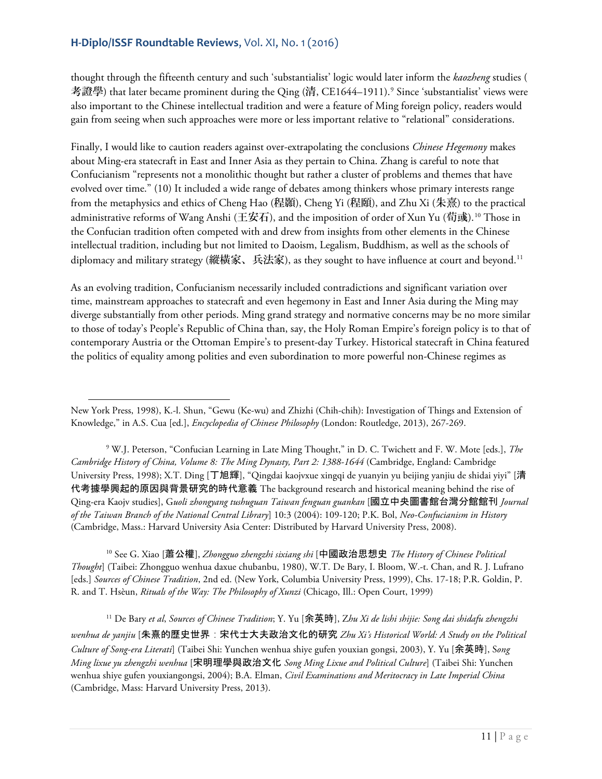thought through the fifteenth century and such 'substantialist' logic would later inform the *kaozheng* studies ( 考證學) that later became prominent during the Qing (清, CE1644–1[9](#page-10-0)11).<sup>9</sup> Since 'substantialist' views were also important to the Chinese intellectual tradition and were a feature of Ming foreign policy, readers would gain from seeing when such approaches were more or less important relative to "relational" considerations.

Finally, I would like to caution readers against over-extrapolating the conclusions *Chinese Hegemony* makes about Ming-era statecraft in East and Inner Asia as they pertain to China. Zhang is careful to note that Confucianism "represents not a monolithic thought but rather a cluster of problems and themes that have evolved over time." (10) It included a wide range of debates among thinkers whose primary interests range from the metaphysics and ethics of Cheng Hao (程顥), Cheng Yi (程頤), and Zhu Xi (朱熹) to the practical administrative reforms of Wang Anshi (王安石), and the imposition of order of Xun Yu (荀彧).[10](#page-10-1) Those in the Confucian tradition often competed with and drew from insights from other elements in the Chinese intellectual tradition, including but not limited to Daoism, Legalism, Buddhism, as well as the schools of diplomacy and military strategy (縱橫家、兵法家), as they sought to have influence at court and beyond.<sup>[11](#page-10-2)</sup>

As an evolving tradition, Confucianism necessarily included contradictions and significant variation over time, mainstream approaches to statecraft and even hegemony in East and Inner Asia during the Ming may diverge substantially from other periods. Ming grand strategy and normative concerns may be no more similar to those of today's People's Republic of China than, say, the Holy Roman Empire's foreign policy is to that of contemporary Austria or the Ottoman Empire's to present-day Turkey. Historical statecraft in China featured the politics of equality among polities and even subordination to more powerful non-Chinese regimes as

<span id="page-10-1"></span><sup>10</sup> See G. Xiao [蕭公權], *Zhongguo zhengzhi sixiang shi* [中國政治思想史 *The History of Chinese Political Thought*] (Taibei: Zhongguo wenhua daxue chubanbu, 1980), W.T. De Bary, I. Bloom, W.-t. Chan, and R. J. Lufrano [eds.] *Sources of Chinese Tradition*, 2nd ed. (New York, Columbia University Press, 1999), Chs. 17-18; P.R. Goldin, P. R. and T. Hsèun, *Rituals of the Way: The Philosophy of Xunzi* (Chicago, Ill.: Open Court, 1999)

<span id="page-10-2"></span><sup>11</sup> De Bary *et al*, *Sources of Chinese Tradition*; Y. Yu [余英時], Z*hu Xi de lishi shijie: Song dai shidafu zhengzhi wenhua de yanjiu* [朱熹的歷史世界:宋代士大夫政治文化的研究 *Zhu Xi's Historical World: A Study on the Political Culture of Song-era Literati*] (Taibei Shi: Yunchen wenhua shiye gufen youxian gongsi, 2003), Y. Yu [余英時], S*ong Ming lixue yu zhengzhi wenhua* [宋明理學與政治文化 *Song Ming Lixue and Political Culture*] (Taibei Shi: Yunchen wenhua shiye gufen youxiangongsi, 2004); B.A. Elman, *Civil Examinations and Meritocracy in Late Imperial China* (Cambridge, Mass: Harvard University Press, 2013).

 $\overline{a}$ New York Press, 1998), K.-l. Shun, "Gewu (Ke-wu) and Zhizhi (Chih-chih): Investigation of Things and Extension of Knowledge," in A.S. Cua [ed.], *Encyclopedia of Chinese Philosophy* (London: Routledge, 2013), 267-269.

<span id="page-10-0"></span><sup>9</sup> W.J. Peterson, "Confucian Learning in Late Ming Thought," in D. C. Twichett and F. W. Mote [eds.], *The Cambridge History of China, Volume 8: The Ming Dynasty, Part 2: 1388*-*1644* (Cambridge, England: Cambridge University Press, 1998); X.T. Ding [丁旭輝], "Qingdai kaojvxue xingqi de yuanyin yu beijing yanjiu de shidai yiyi" [清 代考據學興起的原因與背景研究的時代意義 The background research and historical meaning behind the rise of Qing-era Kaojv studies], G*uoli zhongyang tushuguan Taiwan fenguan guankan* [國立中央圖書館台灣分館館刊 *Journal of the Taiwan Branch of the National Central Library*] 10:3 (2004): 109-120; P.K. Bol, *Neo-Confucianism in History* (Cambridge, Mass.: Harvard University Asia Center: Distributed by Harvard University Press, 2008).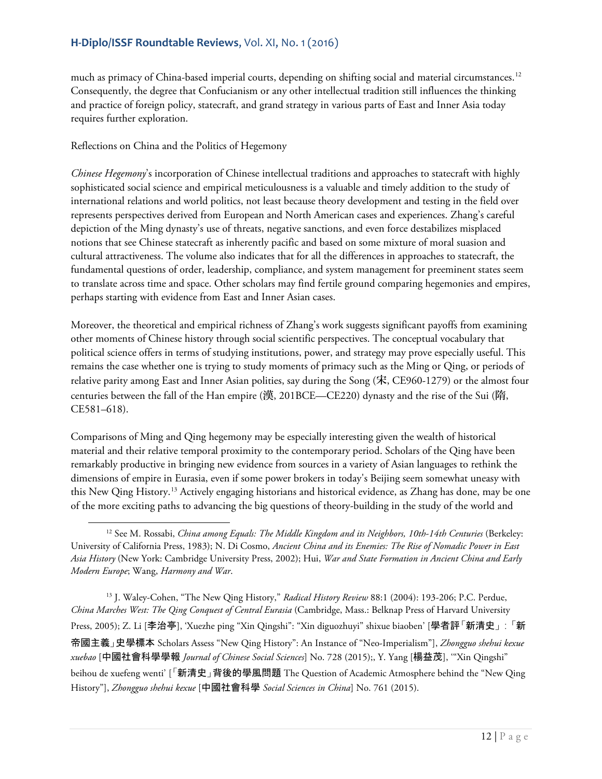much as primacy of China-based imperial courts, depending on shifting social and material circumstances.[12](#page-11-0) Consequently, the degree that Confucianism or any other intellectual tradition still influences the thinking and practice of foreign policy, statecraft, and grand strategy in various parts of East and Inner Asia today requires further exploration.

Reflections on China and the Politics of Hegemony

 $\overline{a}$ 

*Chinese Hegemony*'s incorporation of Chinese intellectual traditions and approaches to statecraft with highly sophisticated social science and empirical meticulousness is a valuable and timely addition to the study of international relations and world politics, not least because theory development and testing in the field over represents perspectives derived from European and North American cases and experiences. Zhang's careful depiction of the Ming dynasty's use of threats, negative sanctions, and even force destabilizes misplaced notions that see Chinese statecraft as inherently pacific and based on some mixture of moral suasion and cultural attractiveness. The volume also indicates that for all the differences in approaches to statecraft, the fundamental questions of order, leadership, compliance, and system management for preeminent states seem to translate across time and space. Other scholars may find fertile ground comparing hegemonies and empires, perhaps starting with evidence from East and Inner Asian cases.

Moreover, the theoretical and empirical richness of Zhang's work suggests significant payoffs from examining other moments of Chinese history through social scientific perspectives. The conceptual vocabulary that political science offers in terms of studying institutions, power, and strategy may prove especially useful. This remains the case whether one is trying to study moments of primacy such as the Ming or Qing, or periods of relative parity among East and Inner Asian polities, say during the Song (宋, CE960-1279) or the almost four centuries between the fall of the Han empire (漢, 201BCE—CE220) dynasty and the rise of the Sui (隋, CE581–618).

Comparisons of Ming and Qing hegemony may be especially interesting given the wealth of historical material and their relative temporal proximity to the contemporary period. Scholars of the Qing have been remarkably productive in bringing new evidence from sources in a variety of Asian languages to rethink the dimensions of empire in Eurasia, even if some power brokers in today's Beijing seem somewhat uneasy with this New Qing History.[13](#page-11-1) Actively engaging historians and historical evidence, as Zhang has done, may be one of the more exciting paths to advancing the big questions of theory-building in the study of the world and

<span id="page-11-1"></span><sup>13</sup> J. Waley-Cohen, "The New Qing History," *Radical History Review* 88:1 (2004): 193-206; P.C. Perdue, *China Marches West: The Qing Conquest of Central Eurasia* (Cambridge, Mass.: Belknap Press of Harvard University Press, 2005); Z. Li [李治亭], 'Xuezhe ping "Xin Qingshi": "Xin diguozhuyi" shixue biaoben' [學者評「新清史」:「新 帝國主義」史學標本 Scholars Assess "New Qing History": An Instance of "Neo-Imperialism"], *Zhongguo shehui kexue xuebao* [中國社會科學學報 *Journal of Chinese Social Sciences*] No. 728 (2015);, Y. Yang [楊益茂], '"Xin Qingshi" beihou de xuefeng wenti' [「新清史」背後的學風問題 The Question of Academic Atmosphere behind the "New Qing History"], *Zhongguo shehui kexue* [中國社會科學 *Social Sciences in China*] No. 761 (2015).

<span id="page-11-0"></span><sup>&</sup>lt;sup>12</sup> See M. Rossabi, *China among Equals: The Middle Kingdom and its Neighbors, 10th-14th Centuries* (Berkeley: University of California Press, 1983); N. Di Cosmo, *Ancient China and its Enemies: The Rise of Nomadic Power in East Asia History* (New York: Cambridge University Press, 2002); Hui, *War and State Formation in Ancient China and Early Modern Europe*; Wang, *Harmony and War*.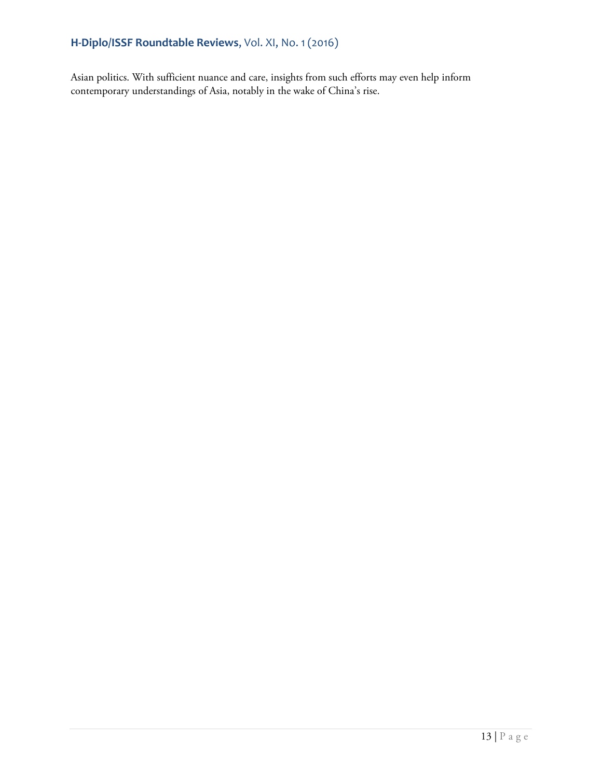Asian politics. With sufficient nuance and care, insights from such efforts may even help inform contemporary understandings of Asia, notably in the wake of China's rise.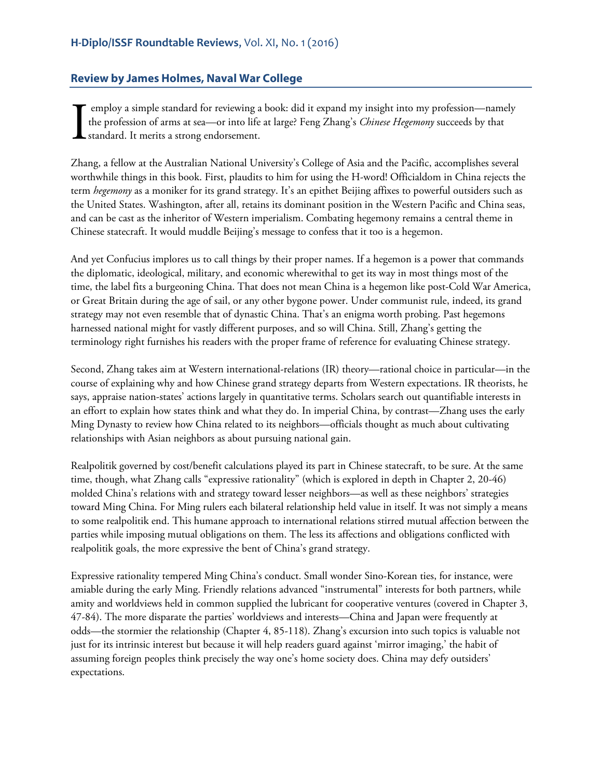## <span id="page-13-0"></span>**Review by James Holmes, Naval War College**

employ a simple standard for reviewing a book: did it expand my insight into my profession—namely the profession of arms at sea—or into life at large? Feng Zhang's *Chinese Hegemony* succeeds by that standard. It merits a strong endorsement. I

Zhang, a fellow at the Australian National University's College of Asia and the Pacific, accomplishes several worthwhile things in this book. First, plaudits to him for using the H-word! Officialdom in China rejects the term *hegemony* as a moniker for its grand strategy. It's an epithet Beijing affixes to powerful outsiders such as the United States. Washington, after all, retains its dominant position in the Western Pacific and China seas, and can be cast as the inheritor of Western imperialism. Combating hegemony remains a central theme in Chinese statecraft. It would muddle Beijing's message to confess that it too is a hegemon.

And yet Confucius implores us to call things by their proper names. If a hegemon is a power that commands the diplomatic, ideological, military, and economic wherewithal to get its way in most things most of the time, the label fits a burgeoning China. That does not mean China is a hegemon like post-Cold War America, or Great Britain during the age of sail, or any other bygone power. Under communist rule, indeed, its grand strategy may not even resemble that of dynastic China. That's an enigma worth probing. Past hegemons harnessed national might for vastly different purposes, and so will China. Still, Zhang's getting the terminology right furnishes his readers with the proper frame of reference for evaluating Chinese strategy.

Second, Zhang takes aim at Western international-relations (IR) theory—rational choice in particular—in the course of explaining why and how Chinese grand strategy departs from Western expectations. IR theorists, he says, appraise nation-states' actions largely in quantitative terms. Scholars search out quantifiable interests in an effort to explain how states think and what they do. In imperial China, by contrast—Zhang uses the early Ming Dynasty to review how China related to its neighbors—officials thought as much about cultivating relationships with Asian neighbors as about pursuing national gain.

Realpolitik governed by cost/benefit calculations played its part in Chinese statecraft, to be sure. At the same time, though, what Zhang calls "expressive rationality" (which is explored in depth in Chapter 2, 20-46) molded China's relations with and strategy toward lesser neighbors—as well as these neighbors' strategies toward Ming China. For Ming rulers each bilateral relationship held value in itself. It was not simply a means to some realpolitik end. This humane approach to international relations stirred mutual affection between the parties while imposing mutual obligations on them. The less its affections and obligations conflicted with realpolitik goals, the more expressive the bent of China's grand strategy.

Expressive rationality tempered Ming China's conduct. Small wonder Sino-Korean ties, for instance, were amiable during the early Ming. Friendly relations advanced "instrumental" interests for both partners, while amity and worldviews held in common supplied the lubricant for cooperative ventures (covered in Chapter 3, 47-84). The more disparate the parties' worldviews and interests—China and Japan were frequently at odds—the stormier the relationship (Chapter 4, 85-118). Zhang's excursion into such topics is valuable not just for its intrinsic interest but because it will help readers guard against 'mirror imaging,' the habit of assuming foreign peoples think precisely the way one's home society does. China may defy outsiders' expectations.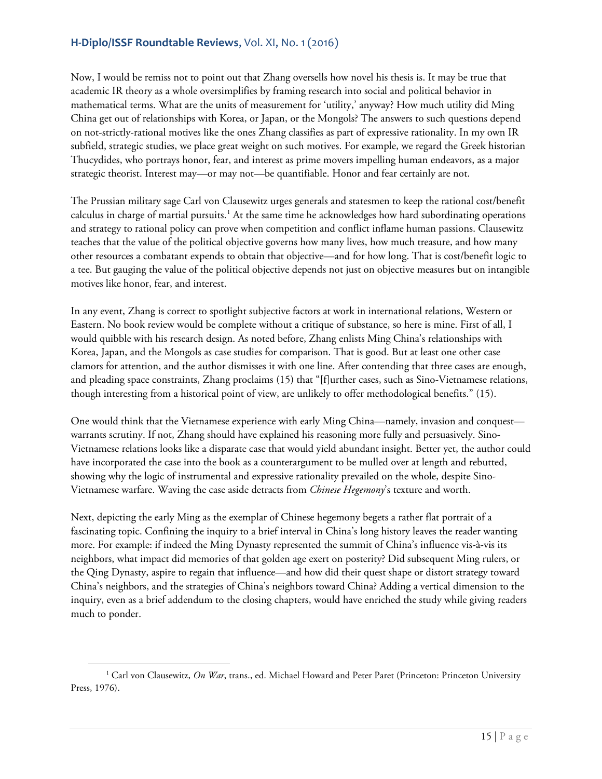Now, I would be remiss not to point out that Zhang oversells how novel his thesis is. It may be true that academic IR theory as a whole oversimplifies by framing research into social and political behavior in mathematical terms. What are the units of measurement for 'utility,' anyway? How much utility did Ming China get out of relationships with Korea, or Japan, or the Mongols? The answers to such questions depend on not-strictly-rational motives like the ones Zhang classifies as part of expressive rationality. In my own IR subfield, strategic studies, we place great weight on such motives. For example, we regard the Greek historian Thucydides, who portrays honor, fear, and interest as prime movers impelling human endeavors, as a major strategic theorist. Interest may—or may not—be quantifiable. Honor and fear certainly are not.

The Prussian military sage Carl von Clausewitz urges generals and statesmen to keep the rational cost/benefit calculus in charge of martial pursuits.<sup>[1](#page-14-0)</sup> At the same time he acknowledges how hard subordinating operations and strategy to rational policy can prove when competition and conflict inflame human passions. Clausewitz teaches that the value of the political objective governs how many lives, how much treasure, and how many other resources a combatant expends to obtain that objective—and for how long. That is cost/benefit logic to a tee. But gauging the value of the political objective depends not just on objective measures but on intangible motives like honor, fear, and interest.

In any event, Zhang is correct to spotlight subjective factors at work in international relations, Western or Eastern. No book review would be complete without a critique of substance, so here is mine. First of all, I would quibble with his research design. As noted before, Zhang enlists Ming China's relationships with Korea, Japan, and the Mongols as case studies for comparison. That is good. But at least one other case clamors for attention, and the author dismisses it with one line. After contending that three cases are enough, and pleading space constraints, Zhang proclaims (15) that "[f]urther cases, such as Sino-Vietnamese relations, though interesting from a historical point of view, are unlikely to offer methodological benefits." (15).

One would think that the Vietnamese experience with early Ming China—namely, invasion and conquest warrants scrutiny. If not, Zhang should have explained his reasoning more fully and persuasively. Sino-Vietnamese relations looks like a disparate case that would yield abundant insight. Better yet, the author could have incorporated the case into the book as a counterargument to be mulled over at length and rebutted, showing why the logic of instrumental and expressive rationality prevailed on the whole, despite Sino-Vietnamese warfare. Waving the case aside detracts from *Chinese Hegemony*'s texture and worth.

Next, depicting the early Ming as the exemplar of Chinese hegemony begets a rather flat portrait of a fascinating topic. Confining the inquiry to a brief interval in China's long history leaves the reader wanting more. For example: if indeed the Ming Dynasty represented the summit of China's influence vis-à-vis its neighbors, what impact did memories of that golden age exert on posterity? Did subsequent Ming rulers, or the Qing Dynasty, aspire to regain that influence—and how did their quest shape or distort strategy toward China's neighbors, and the strategies of China's neighbors toward China? Adding a vertical dimension to the inquiry, even as a brief addendum to the closing chapters, would have enriched the study while giving readers much to ponder.

<span id="page-14-0"></span><sup>1</sup> Carl von Clausewitz, *On War*, trans., ed. Michael Howard and Peter Paret (Princeton: Princeton University Press, 1976).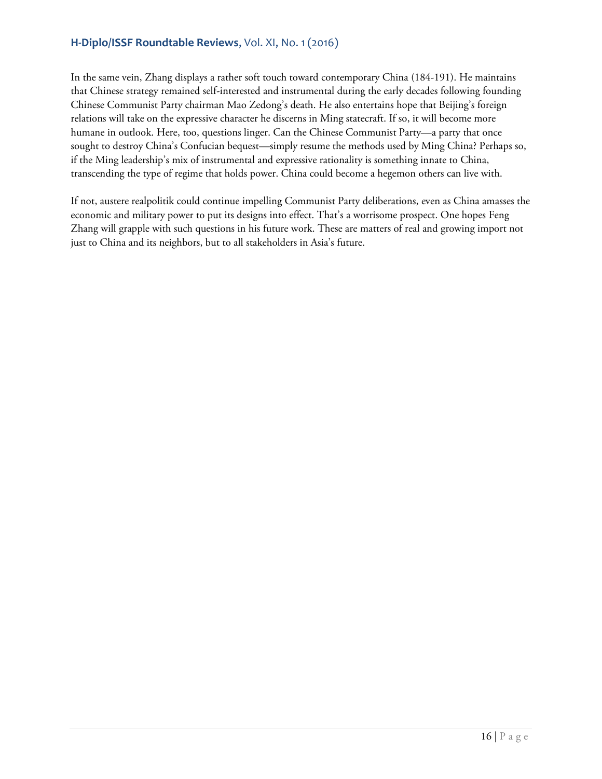In the same vein, Zhang displays a rather soft touch toward contemporary China (184-191). He maintains that Chinese strategy remained self-interested and instrumental during the early decades following founding Chinese Communist Party chairman Mao Zedong's death. He also entertains hope that Beijing's foreign relations will take on the expressive character he discerns in Ming statecraft. If so, it will become more humane in outlook. Here, too, questions linger. Can the Chinese Communist Party—a party that once sought to destroy China's Confucian bequest—simply resume the methods used by Ming China? Perhaps so, if the Ming leadership's mix of instrumental and expressive rationality is something innate to China, transcending the type of regime that holds power. China could become a hegemon others can live with.

If not, austere realpolitik could continue impelling Communist Party deliberations, even as China amasses the economic and military power to put its designs into effect. That's a worrisome prospect. One hopes Feng Zhang will grapple with such questions in his future work. These are matters of real and growing import not just to China and its neighbors, but to all stakeholders in Asia's future.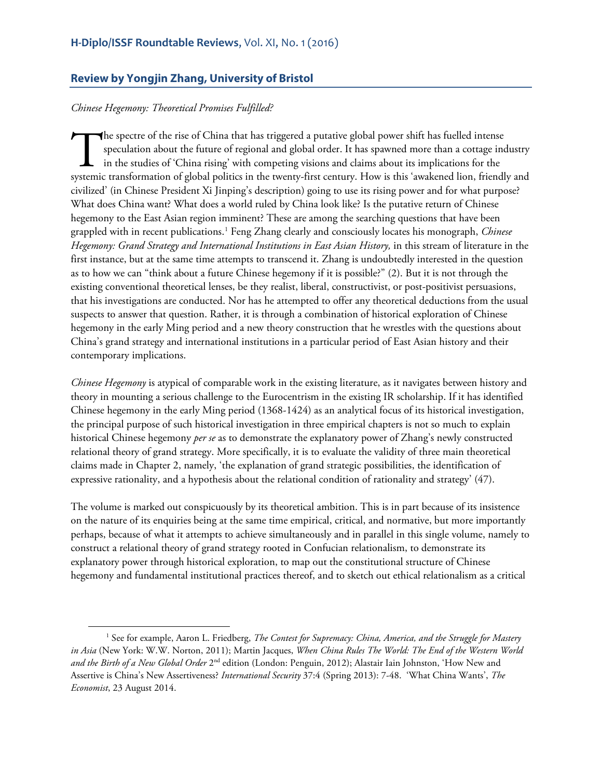#### <span id="page-16-0"></span>**Review by Yongjin Zhang, University of Bristol**

#### *Chinese Hegemony: Theoretical Promises Fulfilled?*

 $\overline{a}$ 

he spectre of the rise of China that has triggered a putative global power shift has fuelled intense speculation about the future of regional and global order. It has spawned more than a cottage industry in the studies of 'China rising' with competing visions and claims about its implications for the The spectre of the rise of China that has triggered a putative global power shift has fuelled intense speculation about the future of regional and global order. It has spawned more than a cottage industry in the studies of civilized' (in Chinese President Xi Jinping's description) going to use its rising power and for what purpose? What does China want? What does a world ruled by China look like? Is the putative return of Chinese hegemony to the East Asian region imminent? These are among the searching questions that have been grappled with in recent publications.[1](#page-16-1) Feng Zhang clearly and consciously locates his monograph, *Chinese Hegemony: Grand Strategy and International Institutions in East Asian History,* in this stream of literature in the first instance, but at the same time attempts to transcend it. Zhang is undoubtedly interested in the question as to how we can "think about a future Chinese hegemony if it is possible?" (2). But it is not through the existing conventional theoretical lenses, be they realist, liberal, constructivist, or post-positivist persuasions, that his investigations are conducted. Nor has he attempted to offer any theoretical deductions from the usual suspects to answer that question. Rather, it is through a combination of historical exploration of Chinese hegemony in the early Ming period and a new theory construction that he wrestles with the questions about China's grand strategy and international institutions in a particular period of East Asian history and their contemporary implications.

*Chinese Hegemony* is atypical of comparable work in the existing literature, as it navigates between history and theory in mounting a serious challenge to the Eurocentrism in the existing IR scholarship. If it has identified Chinese hegemony in the early Ming period (1368-1424) as an analytical focus of its historical investigation, the principal purpose of such historical investigation in three empirical chapters is not so much to explain historical Chinese hegemony *per se* as to demonstrate the explanatory power of Zhang's newly constructed relational theory of grand strategy. More specifically, it is to evaluate the validity of three main theoretical claims made in Chapter 2, namely, 'the explanation of grand strategic possibilities, the identification of expressive rationality, and a hypothesis about the relational condition of rationality and strategy' (47).

The volume is marked out conspicuously by its theoretical ambition. This is in part because of its insistence on the nature of its enquiries being at the same time empirical, critical, and normative, but more importantly perhaps, because of what it attempts to achieve simultaneously and in parallel in this single volume, namely to construct a relational theory of grand strategy rooted in Confucian relationalism, to demonstrate its explanatory power through historical exploration, to map out the constitutional structure of Chinese hegemony and fundamental institutional practices thereof, and to sketch out ethical relationalism as a critical

<span id="page-16-1"></span><sup>1</sup> See for example, Aaron L. Friedberg, *The Contest for Supremacy: China, America, and the Struggle for Mastery in Asia* (New York: W.W. Norton, 2011); Martin Jacques, *When China Rules The World: The End of the Western World and the Birth of a New Global Order* 2nd edition (London: Penguin, 2012); Alastair Iain Johnston, 'How New and Assertive is China's New Assertiveness? *International Security* 37:4 (Spring 2013): 7-48. 'What China Wants', *The Economist*, 23 August 2014.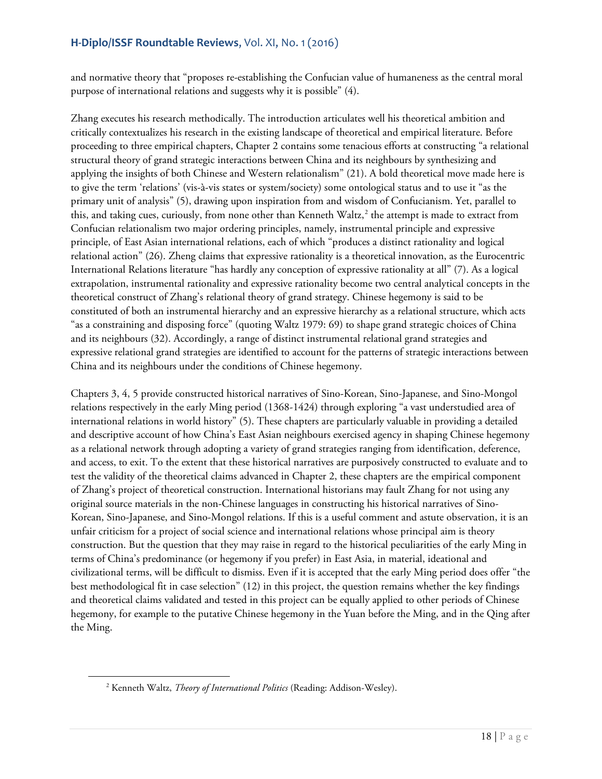and normative theory that "proposes re-establishing the Confucian value of humaneness as the central moral purpose of international relations and suggests why it is possible" (4).

Zhang executes his research methodically. The introduction articulates well his theoretical ambition and critically contextualizes his research in the existing landscape of theoretical and empirical literature. Before proceeding to three empirical chapters, Chapter 2 contains some tenacious efforts at constructing "a relational structural theory of grand strategic interactions between China and its neighbours by synthesizing and applying the insights of both Chinese and Western relationalism" (21). A bold theoretical move made here is to give the term 'relations' (vis-à-vis states or system/society) some ontological status and to use it "as the primary unit of analysis" (5), drawing upon inspiration from and wisdom of Confucianism. Yet, parallel to this, and taking cues, curiously, from none other than Kenneth Waltz, $\lambda^2$  $\lambda^2$  the attempt is made to extract from Confucian relationalism two major ordering principles, namely, instrumental principle and expressive principle, of East Asian international relations, each of which "produces a distinct rationality and logical relational action" (26). Zheng claims that expressive rationality is a theoretical innovation, as the Eurocentric International Relations literature "has hardly any conception of expressive rationality at all" (7). As a logical extrapolation, instrumental rationality and expressive rationality become two central analytical concepts in the theoretical construct of Zhang's relational theory of grand strategy. Chinese hegemony is said to be constituted of both an instrumental hierarchy and an expressive hierarchy as a relational structure, which acts "as a constraining and disposing force" (quoting Waltz 1979: 69) to shape grand strategic choices of China and its neighbours (32). Accordingly, a range of distinct instrumental relational grand strategies and expressive relational grand strategies are identified to account for the patterns of strategic interactions between China and its neighbours under the conditions of Chinese hegemony.

Chapters 3, 4, 5 provide constructed historical narratives of Sino-Korean, Sino-Japanese, and Sino-Mongol relations respectively in the early Ming period (1368-1424) through exploring "a vast understudied area of international relations in world history" (5). These chapters are particularly valuable in providing a detailed and descriptive account of how China's East Asian neighbours exercised agency in shaping Chinese hegemony as a relational network through adopting a variety of grand strategies ranging from identification, deference, and access, to exit. To the extent that these historical narratives are purposively constructed to evaluate and to test the validity of the theoretical claims advanced in Chapter 2, these chapters are the empirical component of Zhang's project of theoretical construction. International historians may fault Zhang for not using any original source materials in the non-Chinese languages in constructing his historical narratives of Sino-Korean, Sino-Japanese, and Sino-Mongol relations. If this is a useful comment and astute observation, it is an unfair criticism for a project of social science and international relations whose principal aim is theory construction. But the question that they may raise in regard to the historical peculiarities of the early Ming in terms of China's predominance (or hegemony if you prefer) in East Asia, in material, ideational and civilizational terms, will be difficult to dismiss. Even if it is accepted that the early Ming period does offer "the best methodological fit in case selection" (12) in this project, the question remains whether the key findings and theoretical claims validated and tested in this project can be equally applied to other periods of Chinese hegemony, for example to the putative Chinese hegemony in the Yuan before the Ming, and in the Qing after the Ming.

<span id="page-17-0"></span><sup>2</sup> Kenneth Waltz, *Theory of International Politics* (Reading: Addison-Wesley).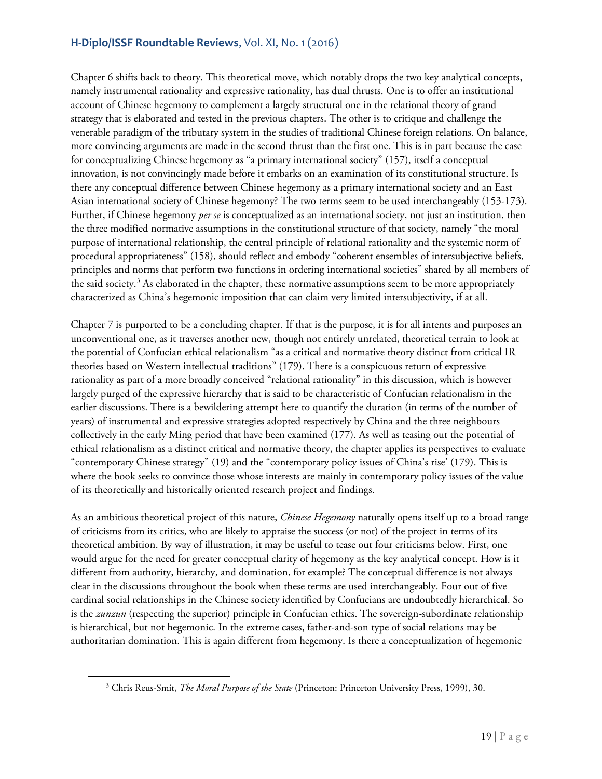Chapter 6 shifts back to theory. This theoretical move, which notably drops the two key analytical concepts, namely instrumental rationality and expressive rationality, has dual thrusts. One is to offer an institutional account of Chinese hegemony to complement a largely structural one in the relational theory of grand strategy that is elaborated and tested in the previous chapters. The other is to critique and challenge the venerable paradigm of the tributary system in the studies of traditional Chinese foreign relations. On balance, more convincing arguments are made in the second thrust than the first one. This is in part because the case for conceptualizing Chinese hegemony as "a primary international society" (157), itself a conceptual innovation, is not convincingly made before it embarks on an examination of its constitutional structure. Is there any conceptual difference between Chinese hegemony as a primary international society and an East Asian international society of Chinese hegemony? The two terms seem to be used interchangeably (153-173). Further, if Chinese hegemony *per se* is conceptualized as an international society, not just an institution, then the three modified normative assumptions in the constitutional structure of that society, namely "the moral purpose of international relationship, the central principle of relational rationality and the systemic norm of procedural appropriateness" (158), should reflect and embody "coherent ensembles of intersubjective beliefs, principles and norms that perform two functions in ordering international societies" shared by all members of the said society.<sup>[3](#page-18-0)</sup> As elaborated in the chapter, these normative assumptions seem to be more appropriately characterized as China's hegemonic imposition that can claim very limited intersubjectivity, if at all.

Chapter 7 is purported to be a concluding chapter. If that is the purpose, it is for all intents and purposes an unconventional one, as it traverses another new, though not entirely unrelated, theoretical terrain to look at the potential of Confucian ethical relationalism "as a critical and normative theory distinct from critical IR theories based on Western intellectual traditions" (179). There is a conspicuous return of expressive rationality as part of a more broadly conceived "relational rationality" in this discussion, which is however largely purged of the expressive hierarchy that is said to be characteristic of Confucian relationalism in the earlier discussions. There is a bewildering attempt here to quantify the duration (in terms of the number of years) of instrumental and expressive strategies adopted respectively by China and the three neighbours collectively in the early Ming period that have been examined (177). As well as teasing out the potential of ethical relationalism as a distinct critical and normative theory, the chapter applies its perspectives to evaluate "contemporary Chinese strategy" (19) and the "contemporary policy issues of China's rise' (179). This is where the book seeks to convince those whose interests are mainly in contemporary policy issues of the value of its theoretically and historically oriented research project and findings.

As an ambitious theoretical project of this nature, *Chinese Hegemony* naturally opens itself up to a broad range of criticisms from its critics, who are likely to appraise the success (or not) of the project in terms of its theoretical ambition. By way of illustration, it may be useful to tease out four criticisms below. First, one would argue for the need for greater conceptual clarity of hegemony as the key analytical concept. How is it different from authority, hierarchy, and domination, for example? The conceptual difference is not always clear in the discussions throughout the book when these terms are used interchangeably. Four out of five cardinal social relationships in the Chinese society identified by Confucians are undoubtedly hierarchical. So is the *zunzun* (respecting the superior) principle in Confucian ethics. The sovereign-subordinate relationship is hierarchical, but not hegemonic. In the extreme cases, father-and-son type of social relations may be authoritarian domination. This is again different from hegemony. Is there a conceptualization of hegemonic

<span id="page-18-0"></span><sup>3</sup> Chris Reus-Smit, *The Moral Purpose of the State* (Princeton: Princeton University Press, 1999), 30.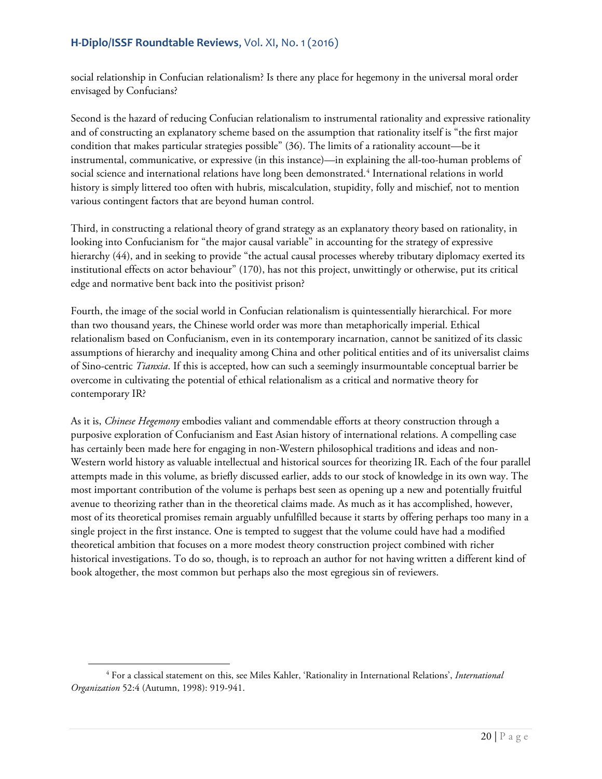social relationship in Confucian relationalism? Is there any place for hegemony in the universal moral order envisaged by Confucians?

Second is the hazard of reducing Confucian relationalism to instrumental rationality and expressive rationality and of constructing an explanatory scheme based on the assumption that rationality itself is "the first major condition that makes particular strategies possible" (36). The limits of a rationality account—be it instrumental, communicative, or expressive (in this instance)—in explaining the all-too-human problems of social science and international relations have long been demonstrated.<sup>[4](#page-19-0)</sup> International relations in world history is simply littered too often with hubris, miscalculation, stupidity, folly and mischief, not to mention various contingent factors that are beyond human control.

Third, in constructing a relational theory of grand strategy as an explanatory theory based on rationality, in looking into Confucianism for "the major causal variable" in accounting for the strategy of expressive hierarchy (44), and in seeking to provide "the actual causal processes whereby tributary diplomacy exerted its institutional effects on actor behaviour" (170), has not this project, unwittingly or otherwise, put its critical edge and normative bent back into the positivist prison?

Fourth, the image of the social world in Confucian relationalism is quintessentially hierarchical. For more than two thousand years, the Chinese world order was more than metaphorically imperial. Ethical relationalism based on Confucianism, even in its contemporary incarnation, cannot be sanitized of its classic assumptions of hierarchy and inequality among China and other political entities and of its universalist claims of Sino-centric *Tianxia*. If this is accepted, how can such a seemingly insurmountable conceptual barrier be overcome in cultivating the potential of ethical relationalism as a critical and normative theory for contemporary IR?

As it is, *Chinese Hegemony* embodies valiant and commendable efforts at theory construction through a purposive exploration of Confucianism and East Asian history of international relations. A compelling case has certainly been made here for engaging in non-Western philosophical traditions and ideas and non-Western world history as valuable intellectual and historical sources for theorizing IR. Each of the four parallel attempts made in this volume, as briefly discussed earlier, adds to our stock of knowledge in its own way. The most important contribution of the volume is perhaps best seen as opening up a new and potentially fruitful avenue to theorizing rather than in the theoretical claims made. As much as it has accomplished, however, most of its theoretical promises remain arguably unfulfilled because it starts by offering perhaps too many in a single project in the first instance. One is tempted to suggest that the volume could have had a modified theoretical ambition that focuses on a more modest theory construction project combined with richer historical investigations. To do so, though, is to reproach an author for not having written a different kind of book altogether, the most common but perhaps also the most egregious sin of reviewers.

<span id="page-19-0"></span><sup>4</sup> For a classical statement on this, see Miles Kahler, 'Rationality in International Relations', *International Organization* 52:4 (Autumn, 1998): 919-941.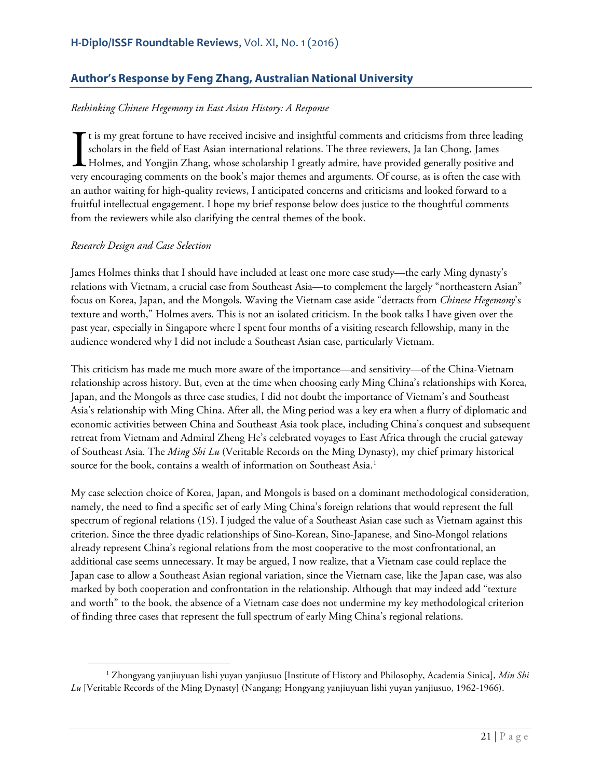# <span id="page-20-0"></span>**Author's Response by Feng Zhang, Australian National University**

#### *Rethinking Chinese Hegemony in East Asian History: A Response*

t is my great fortune to have received incisive and insightful comments and criticisms from three leading scholars in the field of East Asian international relations. The three reviewers, Ja Ian Chong, James Holmes, and Yongjin Zhang, whose scholarship I greatly admire, have provided generally positive and very encouraging comments on the book's major themes and arguments. Of course, as is often the case with an author waiting for high-quality reviews, I anticipated concerns and criticisms and looked forward to a fruitful intellectual engagement. I hope my brief response below does justice to the thoughtful comments from the reviewers while also clarifying the central themes of the book.  $\prod_{\text{very}}$ 

#### *Research Design and Case Selection*

 $\overline{\phantom{a}}$ 

James Holmes thinks that I should have included at least one more case study—the early Ming dynasty's relations with Vietnam, a crucial case from Southeast Asia—to complement the largely "northeastern Asian" focus on Korea, Japan, and the Mongols. Waving the Vietnam case aside "detracts from *Chinese Hegemony*'s texture and worth," Holmes avers. This is not an isolated criticism. In the book talks I have given over the past year, especially in Singapore where I spent four months of a visiting research fellowship, many in the audience wondered why I did not include a Southeast Asian case, particularly Vietnam.

This criticism has made me much more aware of the importance—and sensitivity—of the China-Vietnam relationship across history. But, even at the time when choosing early Ming China's relationships with Korea, Japan, and the Mongols as three case studies, I did not doubt the importance of Vietnam's and Southeast Asia's relationship with Ming China. After all, the Ming period was a key era when a flurry of diplomatic and economic activities between China and Southeast Asia took place, including China's conquest and subsequent retreat from Vietnam and Admiral Zheng He's celebrated voyages to East Africa through the crucial gateway of Southeast Asia. The *Ming Shi Lu* (Veritable Records on the Ming Dynasty), my chief primary historical source for the book, contains a wealth of information on Southeast Asia.<sup>[1](#page-20-1)</sup>

My case selection choice of Korea, Japan, and Mongols is based on a dominant methodological consideration, namely, the need to find a specific set of early Ming China's foreign relations that would represent the full spectrum of regional relations (15). I judged the value of a Southeast Asian case such as Vietnam against this criterion. Since the three dyadic relationships of Sino-Korean, Sino-Japanese, and Sino-Mongol relations already represent China's regional relations from the most cooperative to the most confrontational, an additional case seems unnecessary. It may be argued, I now realize, that a Vietnam case could replace the Japan case to allow a Southeast Asian regional variation, since the Vietnam case, like the Japan case, was also marked by both cooperation and confrontation in the relationship. Although that may indeed add "texture and worth" to the book, the absence of a Vietnam case does not undermine my key methodological criterion of finding three cases that represent the full spectrum of early Ming China's regional relations.

<span id="page-20-1"></span><sup>1</sup> Zhongyang yanjiuyuan lishi yuyan yanjiusuo [Institute of History and Philosophy, Academia Sinica], *Min Shi Lu* [Veritable Records of the Ming Dynasty] (Nangang; Hongyang yanjiuyuan lishi yuyan yanjiusuo, 1962-1966).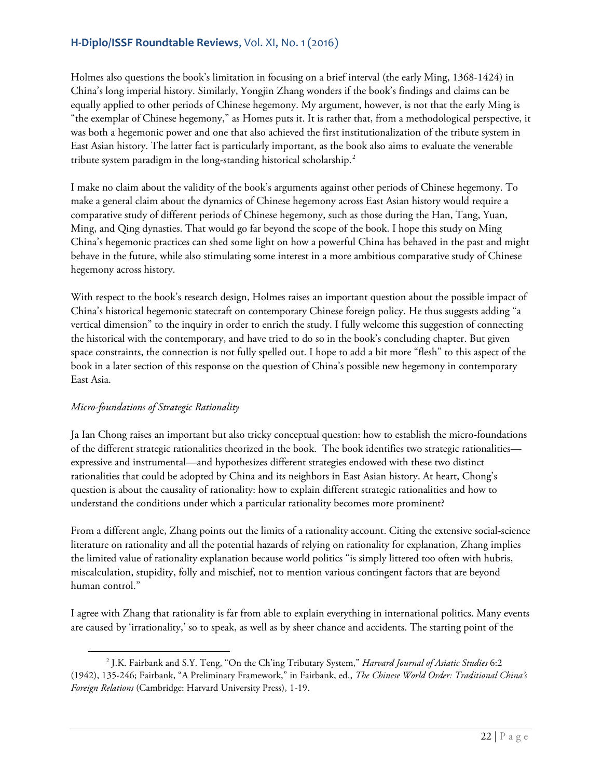Holmes also questions the book's limitation in focusing on a brief interval (the early Ming, 1368-1424) in China's long imperial history. Similarly, Yongjin Zhang wonders if the book's findings and claims can be equally applied to other periods of Chinese hegemony. My argument, however, is not that the early Ming is "the exemplar of Chinese hegemony," as Homes puts it. It is rather that, from a methodological perspective, it was both a hegemonic power and one that also achieved the first institutionalization of the tribute system in East Asian history. The latter fact is particularly important, as the book also aims to evaluate the venerable tribute system paradigm in the long-standing historical scholarship.<sup>[2](#page-21-0)</sup>

I make no claim about the validity of the book's arguments against other periods of Chinese hegemony. To make a general claim about the dynamics of Chinese hegemony across East Asian history would require a comparative study of different periods of Chinese hegemony, such as those during the Han, Tang, Yuan, Ming, and Qing dynasties. That would go far beyond the scope of the book. I hope this study on Ming China's hegemonic practices can shed some light on how a powerful China has behaved in the past and might behave in the future, while also stimulating some interest in a more ambitious comparative study of Chinese hegemony across history.

With respect to the book's research design, Holmes raises an important question about the possible impact of China's historical hegemonic statecraft on contemporary Chinese foreign policy. He thus suggests adding "a vertical dimension" to the inquiry in order to enrich the study. I fully welcome this suggestion of connecting the historical with the contemporary, and have tried to do so in the book's concluding chapter. But given space constraints, the connection is not fully spelled out. I hope to add a bit more "flesh" to this aspect of the book in a later section of this response on the question of China's possible new hegemony in contemporary East Asia.

## *Micro-foundations of Strategic Rationality*

l

Ja Ian Chong raises an important but also tricky conceptual question: how to establish the micro-foundations of the different strategic rationalities theorized in the book. The book identifies two strategic rationalities expressive and instrumental—and hypothesizes different strategies endowed with these two distinct rationalities that could be adopted by China and its neighbors in East Asian history. At heart, Chong's question is about the causality of rationality: how to explain different strategic rationalities and how to understand the conditions under which a particular rationality becomes more prominent?

From a different angle, Zhang points out the limits of a rationality account. Citing the extensive social-science literature on rationality and all the potential hazards of relying on rationality for explanation, Zhang implies the limited value of rationality explanation because world politics "is simply littered too often with hubris, miscalculation, stupidity, folly and mischief, not to mention various contingent factors that are beyond human control."

I agree with Zhang that rationality is far from able to explain everything in international politics. Many events are caused by 'irrationality,' so to speak, as well as by sheer chance and accidents. The starting point of the

<span id="page-21-0"></span><sup>2</sup> J.K. Fairbank and S.Y. Teng, "On the Ch'ing Tributary System," *Harvard Journal of Asiatic Studies* 6:2 (1942), 135-246; Fairbank, "A Preliminary Framework," in Fairbank, ed., *The Chinese World Order: Traditional China's Foreign Relations* (Cambridge: Harvard University Press), 1-19.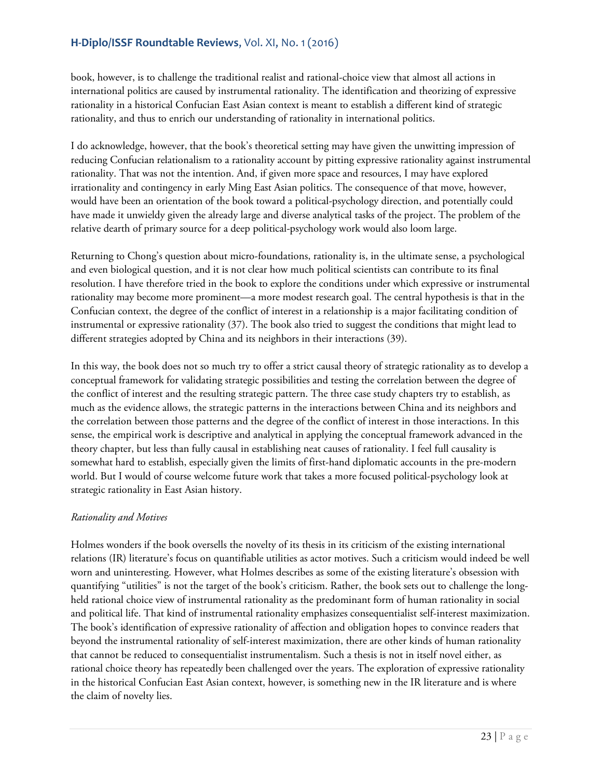book, however, is to challenge the traditional realist and rational-choice view that almost all actions in international politics are caused by instrumental rationality. The identification and theorizing of expressive rationality in a historical Confucian East Asian context is meant to establish a different kind of strategic rationality, and thus to enrich our understanding of rationality in international politics.

I do acknowledge, however, that the book's theoretical setting may have given the unwitting impression of reducing Confucian relationalism to a rationality account by pitting expressive rationality against instrumental rationality. That was not the intention. And, if given more space and resources, I may have explored irrationality and contingency in early Ming East Asian politics. The consequence of that move, however, would have been an orientation of the book toward a political-psychology direction, and potentially could have made it unwieldy given the already large and diverse analytical tasks of the project. The problem of the relative dearth of primary source for a deep political-psychology work would also loom large.

Returning to Chong's question about micro-foundations, rationality is, in the ultimate sense, a psychological and even biological question, and it is not clear how much political scientists can contribute to its final resolution. I have therefore tried in the book to explore the conditions under which expressive or instrumental rationality may become more prominent—a more modest research goal. The central hypothesis is that in the Confucian context, the degree of the conflict of interest in a relationship is a major facilitating condition of instrumental or expressive rationality (37). The book also tried to suggest the conditions that might lead to different strategies adopted by China and its neighbors in their interactions (39).

In this way, the book does not so much try to offer a strict causal theory of strategic rationality as to develop a conceptual framework for validating strategic possibilities and testing the correlation between the degree of the conflict of interest and the resulting strategic pattern. The three case study chapters try to establish, as much as the evidence allows, the strategic patterns in the interactions between China and its neighbors and the correlation between those patterns and the degree of the conflict of interest in those interactions. In this sense, the empirical work is descriptive and analytical in applying the conceptual framework advanced in the theory chapter, but less than fully causal in establishing neat causes of rationality. I feel full causality is somewhat hard to establish, especially given the limits of first-hand diplomatic accounts in the pre-modern world. But I would of course welcome future work that takes a more focused political-psychology look at strategic rationality in East Asian history.

## *Rationality and Motives*

Holmes wonders if the book oversells the novelty of its thesis in its criticism of the existing international relations (IR) literature's focus on quantifiable utilities as actor motives. Such a criticism would indeed be well worn and uninteresting. However, what Holmes describes as some of the existing literature's obsession with quantifying "utilities" is not the target of the book's criticism. Rather, the book sets out to challenge the longheld rational choice view of instrumental rationality as the predominant form of human rationality in social and political life. That kind of instrumental rationality emphasizes consequentialist self-interest maximization. The book's identification of expressive rationality of affection and obligation hopes to convince readers that beyond the instrumental rationality of self-interest maximization, there are other kinds of human rationality that cannot be reduced to consequentialist instrumentalism. Such a thesis is not in itself novel either, as rational choice theory has repeatedly been challenged over the years. The exploration of expressive rationality in the historical Confucian East Asian context, however, is something new in the IR literature and is where the claim of novelty lies.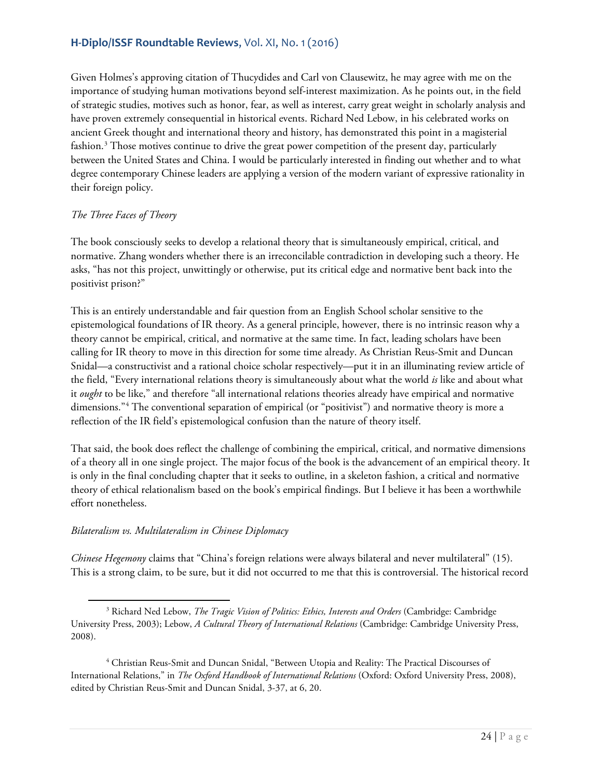Given Holmes's approving citation of Thucydides and Carl von Clausewitz, he may agree with me on the importance of studying human motivations beyond self-interest maximization. As he points out, in the field of strategic studies, motives such as honor, fear, as well as interest, carry great weight in scholarly analysis and have proven extremely consequential in historical events. Richard Ned Lebow, in his celebrated works on ancient Greek thought and international theory and history, has demonstrated this point in a magisterial fashion.<sup>[3](#page-23-0)</sup> Those motives continue to drive the great power competition of the present day, particularly between the United States and China. I would be particularly interested in finding out whether and to what degree contemporary Chinese leaders are applying a version of the modern variant of expressive rationality in their foreign policy.

## *The Three Faces of Theory*

The book consciously seeks to develop a relational theory that is simultaneously empirical, critical, and normative. Zhang wonders whether there is an irreconcilable contradiction in developing such a theory. He asks, "has not this project, unwittingly or otherwise, put its critical edge and normative bent back into the positivist prison?"

This is an entirely understandable and fair question from an English School scholar sensitive to the epistemological foundations of IR theory. As a general principle, however, there is no intrinsic reason why a theory cannot be empirical, critical, and normative at the same time. In fact, leading scholars have been calling for IR theory to move in this direction for some time already. As Christian Reus-Smit and Duncan Snidal—a constructivist and a rational choice scholar respectively—put it in an illuminating review article of the field, "Every international relations theory is simultaneously about what the world *is* like and about what it *ought* to be like," and therefore "all international relations theories already have empirical and normative dimensions."[4](#page-23-1) The conventional separation of empirical (or "positivist") and normative theory is more a reflection of the IR field's epistemological confusion than the nature of theory itself.

That said, the book does reflect the challenge of combining the empirical, critical, and normative dimensions of a theory all in one single project. The major focus of the book is the advancement of an empirical theory. It is only in the final concluding chapter that it seeks to outline, in a skeleton fashion, a critical and normative theory of ethical relationalism based on the book's empirical findings. But I believe it has been a worthwhile effort nonetheless.

## *Bilateralism vs. Multilateralism in Chinese Diplomacy*

*Chinese Hegemony* claims that "China's foreign relations were always bilateral and never multilateral" (15). This is a strong claim, to be sure, but it did not occurred to me that this is controversial. The historical record

<span id="page-23-0"></span>l <sup>3</sup> Richard Ned Lebow, *The Tragic Vision of Politics: Ethics, Interests and Orders* (Cambridge: Cambridge University Press, 2003); Lebow, *A Cultural Theory of International Relations* (Cambridge: Cambridge University Press, 2008).

<span id="page-23-1"></span><sup>4</sup> Christian Reus-Smit and Duncan Snidal, "Between Utopia and Reality: The Practical Discourses of International Relations," in *The Oxford Handbook of International Relations* (Oxford: Oxford University Press, 2008), edited by Christian Reus-Smit and Duncan Snidal, 3-37, at 6, 20.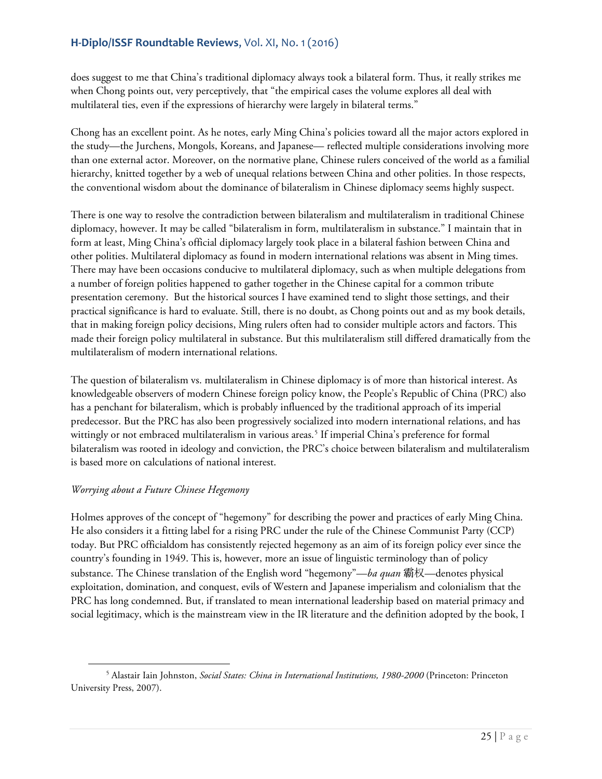does suggest to me that China's traditional diplomacy always took a bilateral form. Thus, it really strikes me when Chong points out, very perceptively, that "the empirical cases the volume explores all deal with multilateral ties, even if the expressions of hierarchy were largely in bilateral terms."

Chong has an excellent point. As he notes, early Ming China's policies toward all the major actors explored in the study—the Jurchens, Mongols, Koreans, and Japanese— reflected multiple considerations involving more than one external actor. Moreover, on the normative plane, Chinese rulers conceived of the world as a familial hierarchy, knitted together by a web of unequal relations between China and other polities. In those respects, the conventional wisdom about the dominance of bilateralism in Chinese diplomacy seems highly suspect.

There is one way to resolve the contradiction between bilateralism and multilateralism in traditional Chinese diplomacy, however. It may be called "bilateralism in form, multilateralism in substance." I maintain that in form at least, Ming China's official diplomacy largely took place in a bilateral fashion between China and other polities. Multilateral diplomacy as found in modern international relations was absent in Ming times. There may have been occasions conducive to multilateral diplomacy, such as when multiple delegations from a number of foreign polities happened to gather together in the Chinese capital for a common tribute presentation ceremony. But the historical sources I have examined tend to slight those settings, and their practical significance is hard to evaluate. Still, there is no doubt, as Chong points out and as my book details, that in making foreign policy decisions, Ming rulers often had to consider multiple actors and factors. This made their foreign policy multilateral in substance. But this multilateralism still differed dramatically from the multilateralism of modern international relations.

The question of bilateralism vs. multilateralism in Chinese diplomacy is of more than historical interest. As knowledgeable observers of modern Chinese foreign policy know, the People's Republic of China (PRC) also has a penchant for bilateralism, which is probably influenced by the traditional approach of its imperial predecessor. But the PRC has also been progressively socialized into modern international relations, and has wittingly or not embraced multilateralism in various areas.<sup>[5](#page-24-0)</sup> If imperial China's preference for formal bilateralism was rooted in ideology and conviction, the PRC's choice between bilateralism and multilateralism is based more on calculations of national interest.

## *Worrying about a Future Chinese Hegemony*

 $\overline{\phantom{a}}$ 

Holmes approves of the concept of "hegemony" for describing the power and practices of early Ming China. He also considers it a fitting label for a rising PRC under the rule of the Chinese Communist Party (CCP) today. But PRC officialdom has consistently rejected hegemony as an aim of its foreign policy ever since the country's founding in 1949. This is, however, more an issue of linguistic terminology than of policy substance. The Chinese translation of the English word "hegemony"—*ba quan* 霸权—denotes physical exploitation, domination, and conquest, evils of Western and Japanese imperialism and colonialism that the PRC has long condemned. But, if translated to mean international leadership based on material primacy and social legitimacy, which is the mainstream view in the IR literature and the definition adopted by the book, I

<span id="page-24-0"></span><sup>5</sup> Alastair Iain Johnston, *Social States: China in International Institutions, 1980-2000* (Princeton: Princeton University Press, 2007).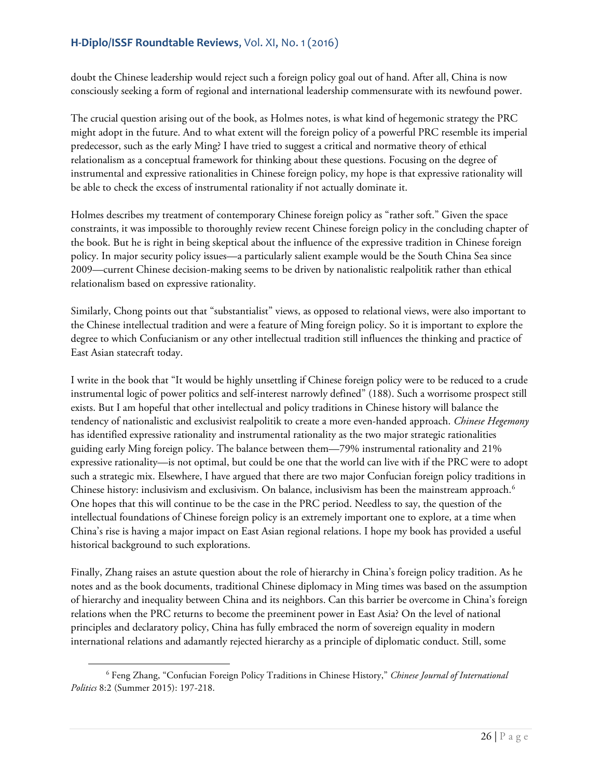doubt the Chinese leadership would reject such a foreign policy goal out of hand. After all, China is now consciously seeking a form of regional and international leadership commensurate with its newfound power.

The crucial question arising out of the book, as Holmes notes, is what kind of hegemonic strategy the PRC might adopt in the future. And to what extent will the foreign policy of a powerful PRC resemble its imperial predecessor, such as the early Ming? I have tried to suggest a critical and normative theory of ethical relationalism as a conceptual framework for thinking about these questions. Focusing on the degree of instrumental and expressive rationalities in Chinese foreign policy, my hope is that expressive rationality will be able to check the excess of instrumental rationality if not actually dominate it.

Holmes describes my treatment of contemporary Chinese foreign policy as "rather soft." Given the space constraints, it was impossible to thoroughly review recent Chinese foreign policy in the concluding chapter of the book. But he is right in being skeptical about the influence of the expressive tradition in Chinese foreign policy. In major security policy issues—a particularly salient example would be the South China Sea since 2009—current Chinese decision-making seems to be driven by nationalistic realpolitik rather than ethical relationalism based on expressive rationality.

Similarly, Chong points out that "substantialist" views, as opposed to relational views, were also important to the Chinese intellectual tradition and were a feature of Ming foreign policy. So it is important to explore the degree to which Confucianism or any other intellectual tradition still influences the thinking and practice of East Asian statecraft today.

I write in the book that "It would be highly unsettling if Chinese foreign policy were to be reduced to a crude instrumental logic of power politics and self-interest narrowly defined" (188). Such a worrisome prospect still exists. But I am hopeful that other intellectual and policy traditions in Chinese history will balance the tendency of nationalistic and exclusivist realpolitik to create a more even-handed approach. *Chinese Hegemony* has identified expressive rationality and instrumental rationality as the two major strategic rationalities guiding early Ming foreign policy. The balance between them—79% instrumental rationality and 21% expressive rationality—is not optimal, but could be one that the world can live with if the PRC were to adopt such a strategic mix. Elsewhere, I have argued that there are two major Confucian foreign policy traditions in Chinese history: inclusivism and exclusivism. On balance, inclusivism has been the mainstream approach.<sup>[6](#page-25-0)</sup> One hopes that this will continue to be the case in the PRC period. Needless to say, the question of the intellectual foundations of Chinese foreign policy is an extremely important one to explore, at a time when China's rise is having a major impact on East Asian regional relations. I hope my book has provided a useful historical background to such explorations.

Finally, Zhang raises an astute question about the role of hierarchy in China's foreign policy tradition. As he notes and as the book documents, traditional Chinese diplomacy in Ming times was based on the assumption of hierarchy and inequality between China and its neighbors. Can this barrier be overcome in China's foreign relations when the PRC returns to become the preeminent power in East Asia? On the level of national principles and declaratory policy, China has fully embraced the norm of sovereign equality in modern international relations and adamantly rejected hierarchy as a principle of diplomatic conduct. Still, some

 $\overline{\phantom{a}}$ 

<span id="page-25-0"></span><sup>6</sup> Feng Zhang, "Confucian Foreign Policy Traditions in Chinese History," *Chinese Journal of International Politics* 8:2 (Summer 2015): 197-218.